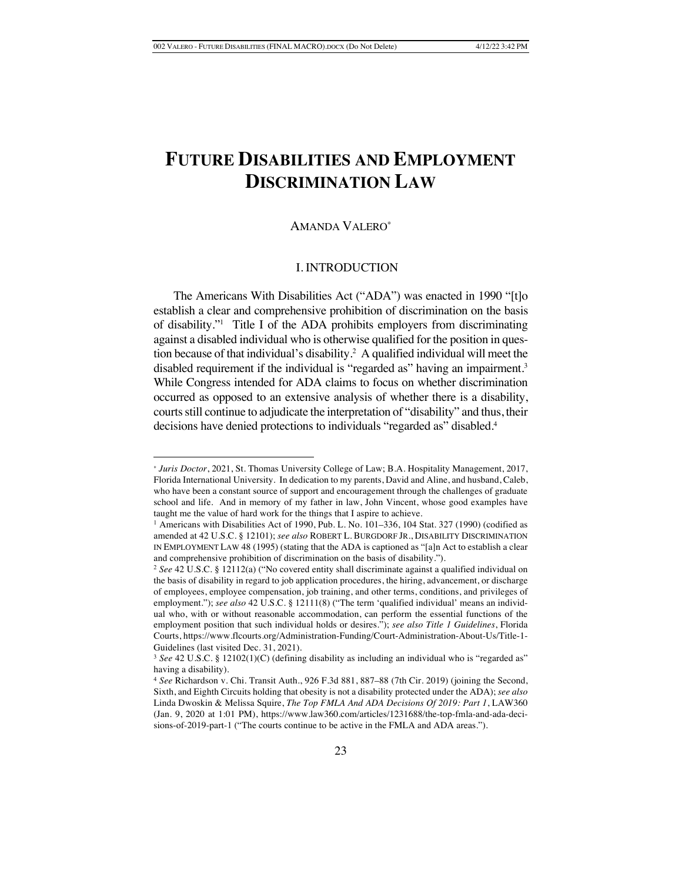# **FUTURE DISABILITIES AND EMPLOYMENT DISCRIMINATION LAW**

### AMANDA VALERO\*

#### I. INTRODUCTION

The Americans With Disabilities Act ("ADA") was enacted in 1990 "[t]o establish a clear and comprehensive prohibition of discrimination on the basis of disability."1 Title I of the ADA prohibits employers from discriminating against a disabled individual who is otherwise qualified for the position in question because of that individual's disability.2 A qualified individual will meet the disabled requirement if the individual is "regarded as" having an impairment.<sup>3</sup> While Congress intended for ADA claims to focus on whether discrimination occurred as opposed to an extensive analysis of whether there is a disability, courts still continue to adjudicate the interpretation of "disability" and thus, their decisions have denied protections to individuals "regarded as" disabled.<sup>4</sup>

<sup>\*</sup> *Juris Doctor*, 2021, St. Thomas University College of Law; B.A. Hospitality Management, 2017, Florida International University. In dedication to my parents, David and Aline, and husband, Caleb, who have been a constant source of support and encouragement through the challenges of graduate school and life. And in memory of my father in law, John Vincent, whose good examples have taught me the value of hard work for the things that I aspire to achieve.

<sup>&</sup>lt;sup>1</sup> Americans with Disabilities Act of 1990, Pub. L. No. 101-336, 104 Stat. 327 (1990) (codified as amended at 42 U.S.C. § 12101); *see also* ROBERT L. BURGDORF JR., DISABILITY DISCRIMINATION IN EMPLOYMENT LAW 48 (1995) (stating that the ADA is captioned as "[a]n Act to establish a clear and comprehensive prohibition of discrimination on the basis of disability.").

<sup>2</sup> *See* 42 U.S.C. § 12112(a) ("No covered entity shall discriminate against a qualified individual on the basis of disability in regard to job application procedures, the hiring, advancement, or discharge of employees, employee compensation, job training, and other terms, conditions, and privileges of employment."); see also 42 U.S.C. § 12111(8) ("The term 'qualified individual' means an individual who, with or without reasonable accommodation, can perform the essential functions of the employment position that such individual holds or desires."); *see also Title 1 Guidelines*, Florida Courts, https://www.flcourts.org/Administration-Funding/Court-Administration-About-Us/Title-1- Guidelines (last visited Dec. 31, 2021).

<sup>3</sup> *See* 42 U.S.C. § 12102(1)(C) (defining disability as including an individual who is "regarded as" having a disability).

<sup>4</sup> *See* Richardson v. Chi. Transit Auth., 926 F.3d 881, 887–88 (7th Cir. 2019) (joining the Second, Sixth, and Eighth Circuits holding that obesity is not a disability protected under the ADA); *see also* Linda Dwoskin & Melissa Squire, *The Top FMLA And ADA Decisions Of 2019: Part 1*, LAW360 (Jan. 9, 2020 at 1:01 PM), https://www.law360.com/articles/1231688/the-top-fmla-and-ada-decisions-of-2019-part-1 ("The courts continue to be active in the FMLA and ADA areas.").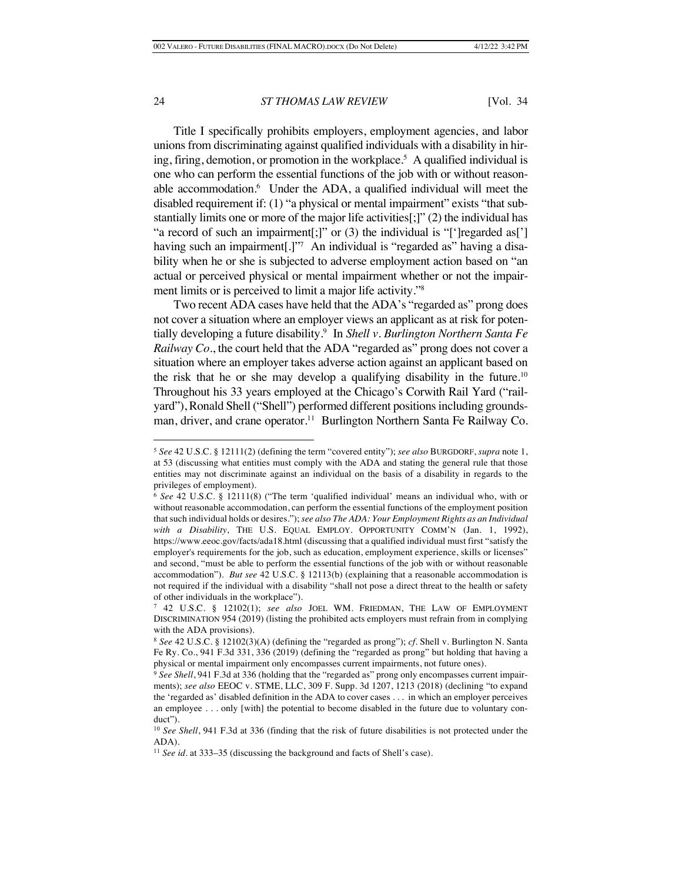Title I specifically prohibits employers, employment agencies, and labor unions from discriminating against qualified individuals with a disability in hiring, firing, demotion, or promotion in the workplace.5 A qualified individual is one who can perform the essential functions of the job with or without reasonable accommodation.<sup>6</sup> Under the ADA, a qualified individual will meet the disabled requirement if: (1) "a physical or mental impairment" exists "that substantially limits one or more of the major life activities[;]" (2) the individual has "a record of such an impairment[;]" or (3) the individual is "[']regarded as['] having such an impairment[.]"<sup>7</sup> An individual is "regarded as" having a disability when he or she is subjected to adverse employment action based on "an actual or perceived physical or mental impairment whether or not the impairment limits or is perceived to limit a major life activity."8

Two recent ADA cases have held that the ADA's "regarded as" prong does not cover a situation where an employer views an applicant as at risk for potentially developing a future disability.9 In *Shell v. Burlington Northern Santa Fe Railway Co.*, the court held that the ADA "regarded as" prong does not cover a situation where an employer takes adverse action against an applicant based on the risk that he or she may develop a qualifying disability in the future.<sup>10</sup> Throughout his 33 years employed at the Chicago's Corwith Rail Yard ("railyard"), Ronald Shell ("Shell") performed different positions including groundsman, driver, and crane operator.<sup>11</sup> Burlington Northern Santa Fe Railway Co.

<sup>5</sup> *See* 42 U.S.C. § 12111(2) (defining the term "covered entity"); *see also* BURGDORF, *supra* note 1, at 53 (discussing what entities must comply with the ADA and stating the general rule that those entities may not discriminate against an individual on the basis of a disability in regards to the privileges of employment).

<sup>6</sup> *See* 42 U.S.C. § 12111(8) ("The term 'qualified individual' means an individual who, with or without reasonable accommodation, can perform the essential functions of the employment position that such individual holds or desires."); *see also The ADA: Your Employment Rights as an Individual*  with a Disability, THE U.S. EQUAL EMPLOY. OPPORTUNITY COMM'N (Jan. 1, 1992), https://www.eeoc.gov/facts/ada18.html (discussing that a qualified individual must first "satisfy the employer's requirements for the job, such as education, employment experience, skills or licenses" and second, "must be able to perform the essential functions of the job with or without reasonable accommodation"). *But see* 42 U.S.C. § 12113(b) (explaining that a reasonable accommodation is not required if the individual with a disability "shall not pose a direct threat to the health or safety of other individuals in the workplace").

<sup>7</sup> 42 U.S.C. § 12102(1); *see also* JOEL WM. FRIEDMAN, THE LAW OF EMPLOYMENT DISCRIMINATION 954 (2019) (listing the prohibited acts employers must refrain from in complying with the ADA provisions).

<sup>8</sup> *See* 42 U.S.C. § 12102(3)(A) (defining the "regarded as prong"); *cf.* Shell v. Burlington N. Santa Fe Ry. Co*.*, 941 F.3d 331, 336 (2019) (defining the "regarded as prong" but holding that having a physical or mental impairment only encompasses current impairments, not future ones).

<sup>9</sup> *See Shell*, 941 F.3d at 336 (holding that the "regarded as" prong only encompasses current impairments); *see also* EEOC v. STME, LLC, 309 F. Supp. 3d 1207, 1213 (2018) (declining "to expand the 'regarded as' disabled definition in the ADA to cover cases . . . in which an employer perceives an employee . . . only [with] the potential to become disabled in the future due to voluntary conduct").

<sup>&</sup>lt;sup>10</sup> *See Shell*, 941 F.3d at 336 (finding that the risk of future disabilities is not protected under the ADA).

<sup>&</sup>lt;sup>11</sup> *See id.* at 333–35 (discussing the background and facts of Shell's case).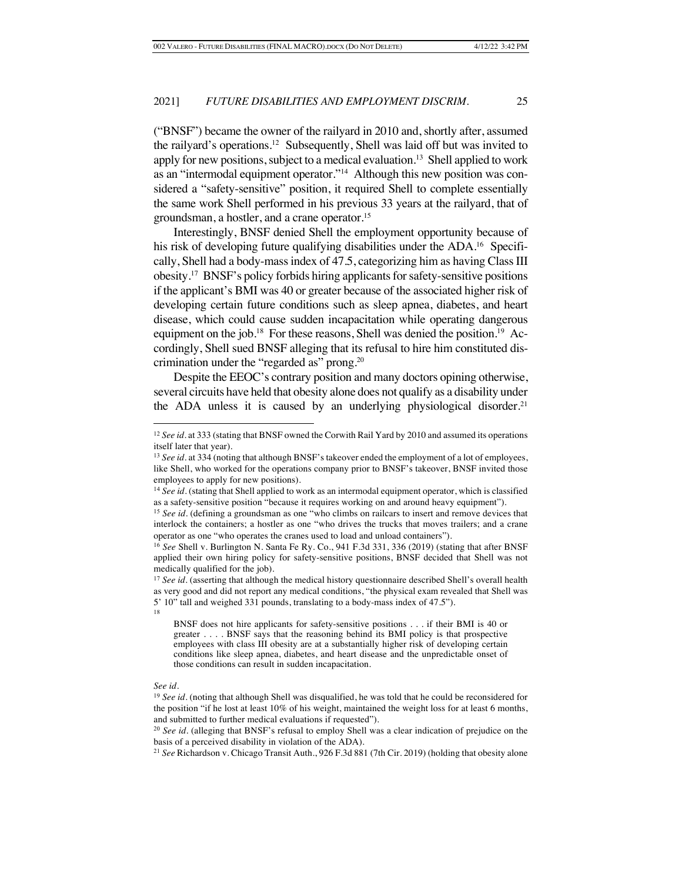("BNSF") became the owner of the railyard in 2010 and, shortly after, assumed the railyard's operations.12 Subsequently, Shell was laid off but was invited to apply for new positions, subject to a medical evaluation.<sup>13</sup> Shell applied to work as an "intermodal equipment operator."14 Although this new position was considered a "safety-sensitive" position, it required Shell to complete essentially the same work Shell performed in his previous 33 years at the railyard, that of groundsman, a hostler, and a crane operator. 15

Interestingly, BNSF denied Shell the employment opportunity because of his risk of developing future qualifying disabilities under the ADA.<sup>16</sup> Specifically, Shell had a body-mass index of 47.5, categorizing him as having Class III obesity.17 BNSF's policy forbids hiring applicants for safety-sensitive positions if the applicant's BMI was 40 or greater because of the associated higher risk of developing certain future conditions such as sleep apnea, diabetes, and heart disease, which could cause sudden incapacitation while operating dangerous equipment on the job.<sup>18</sup> For these reasons, Shell was denied the position.<sup>19</sup> Accordingly, Shell sued BNSF alleging that its refusal to hire him constituted discrimination under the "regarded as" prong.20

Despite the EEOC's contrary position and many doctors opining otherwise, several circuits have held that obesity alone does not qualify as a disability under the ADA unless it is caused by an underlying physiological disorder.<sup>21</sup>

#### *See id.*

<sup>&</sup>lt;sup>12</sup> *See id.* at 333 (stating that BNSF owned the Corwith Rail Yard by 2010 and assumed its operations itself later that year).

<sup>&</sup>lt;sup>13</sup> *See id.* at 334 (noting that although BNSF's takeover ended the employment of a lot of employees, like Shell, who worked for the operations company prior to BNSF's takeover, BNSF invited those employees to apply for new positions).

<sup>14</sup> *See id.* (stating that Shell applied to work as an intermodal equipment operator, which is classified as a safety-sensitive position "because it requires working on and around heavy equipment").

<sup>&</sup>lt;sup>15</sup> See id. (defining a groundsman as one "who climbs on railcars to insert and remove devices that interlock the containers; a hostler as one "who drives the trucks that moves trailers; and a crane operator as one "who operates the cranes used to load and unload containers").

<sup>16</sup> *See* Shell v. Burlington N. Santa Fe Ry. Co*.*, 941 F.3d 331, 336 (2019) (stating that after BNSF applied their own hiring policy for safety-sensitive positions, BNSF decided that Shell was not medically qualified for the job).

<sup>&</sup>lt;sup>17</sup> See id. (asserting that although the medical history questionnaire described Shell's overall health as very good and did not report any medical conditions, "the physical exam revealed that Shell was 5' 10" tall and weighed 331 pounds, translating to a body-mass index of 47.5"). 18

BNSF does not hire applicants for safety-sensitive positions . . . if their BMI is 40 or greater . . . . BNSF says that the reasoning behind its BMI policy is that prospective employees with class III obesity are at a substantially higher risk of developing certain conditions like sleep apnea, diabetes, and heart disease and the unpredictable onset of those conditions can result in sudden incapacitation.

<sup>&</sup>lt;sup>19</sup> *See id.* (noting that although Shell was disqualified, he was told that he could be reconsidered for the position "if he lost at least 10% of his weight, maintained the weight loss for at least 6 months, and submitted to further medical evaluations if requested").

<sup>&</sup>lt;sup>20</sup> *See id.* (alleging that BNSF's refusal to employ Shell was a clear indication of prejudice on the basis of a perceived disability in violation of the ADA).

<sup>21</sup> *See* Richardson v. Chicago Transit Auth., 926 F.3d 881 (7th Cir. 2019) (holding that obesity alone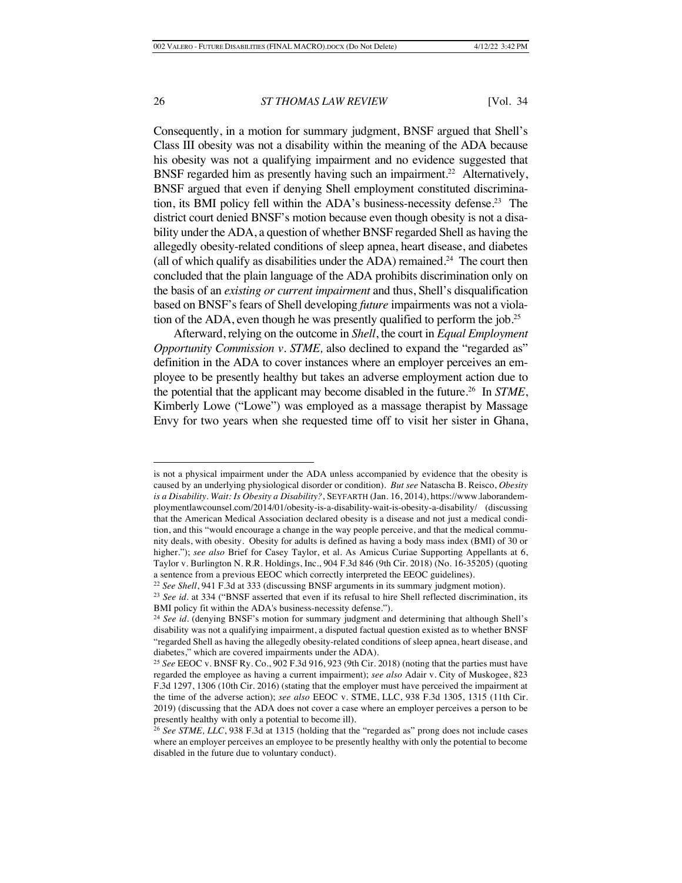Consequently, in a motion for summary judgment, BNSF argued that Shell's Class III obesity was not a disability within the meaning of the ADA because his obesity was not a qualifying impairment and no evidence suggested that BNSF regarded him as presently having such an impairment.<sup>22</sup> Alternatively, BNSF argued that even if denying Shell employment constituted discrimination, its BMI policy fell within the ADA's business-necessity defense.<sup>23</sup> The district court denied BNSF's motion because even though obesity is not a disability under the ADA, a question of whether BNSF regarded Shell as having the allegedly obesity-related conditions of sleep apnea, heart disease, and diabetes (all of which qualify as disabilities under the ADA) remained.<sup>24</sup> The court then concluded that the plain language of the ADA prohibits discrimination only on the basis of an *existing or current impairment* and thus, Shell's disqualification based on BNSF's fears of Shell developing *future* impairments was not a violation of the ADA, even though he was presently qualified to perform the job.<sup>25</sup>

Afterward, relying on the outcome in *Shell*, the court in *Equal Employment Opportunity Commission v. STME,* also declined to expand the "regarded as" definition in the ADA to cover instances where an employer perceives an employee to be presently healthy but takes an adverse employment action due to the potential that the applicant may become disabled in the future.26 In *STME*, Kimberly Lowe ("Lowe") was employed as a massage therapist by Massage Envy for two years when she requested time off to visit her sister in Ghana,

is not a physical impairment under the ADA unless accompanied by evidence that the obesity is caused by an underlying physiological disorder or condition). *But see* Natascha B. Reisco, *Obesity is a Disability. Wait: Is Obesity a Disability?*, SEYFARTH (Jan. 16, 2014), https://www.laborandemploymentlawcounsel.com/2014/01/obesity-is-a-disability-wait-is-obesity-a-disability/ (discussing that the American Medical Association declared obesity is a disease and not just a medical condition, and this "would encourage a change in the way people perceive, and that the medical community deals, with obesity. Obesity for adults is defined as having a body mass index (BMI) of 30 or higher."); *see also* Brief for Casey Taylor, et al. As Amicus Curiae Supporting Appellants at 6, Taylor v. Burlington N. R.R. Holdings, Inc., 904 F.3d 846 (9th Cir. 2018) (No. 16-35205) (quoting a sentence from a previous EEOC which correctly interpreted the EEOC guidelines).

<sup>22</sup> *See Shell*, 941 F.3d at 333 (discussing BNSF arguments in its summary judgment motion).

<sup>&</sup>lt;sup>23</sup> *See id.* at 334 ("BNSF asserted that even if its refusal to hire Shell reflected discrimination, its BMI policy fit within the ADA's business-necessity defense.").

<sup>&</sup>lt;sup>24</sup> See id. (denying BNSF's motion for summary judgment and determining that although Shell's disability was not a qualifying impairment, a disputed factual question existed as to whether BNSF "regarded Shell as having the allegedly obesity-related conditions of sleep apnea, heart disease, and diabetes," which are covered impairments under the ADA).

<sup>25</sup> *See* EEOC v. BNSF Ry. Co., 902 F.3d 916, 923 (9th Cir. 2018) (noting that the parties must have regarded the employee as having a current impairment); *see also* Adair v. City of Muskogee, 823 F.3d 1297, 1306 (10th Cir. 2016) (stating that the employer must have perceived the impairment at the time of the adverse action); *see also* EEOC v. STME, LLC, 938 F.3d 1305, 1315 (11th Cir. 2019) (discussing that the ADA does not cover a case where an employer perceives a person to be presently healthy with only a potential to become ill).

<sup>26</sup> *See STME, LLC*, 938 F.3d at 1315 (holding that the "regarded as" prong does not include cases where an employer perceives an employee to be presently healthy with only the potential to become disabled in the future due to voluntary conduct).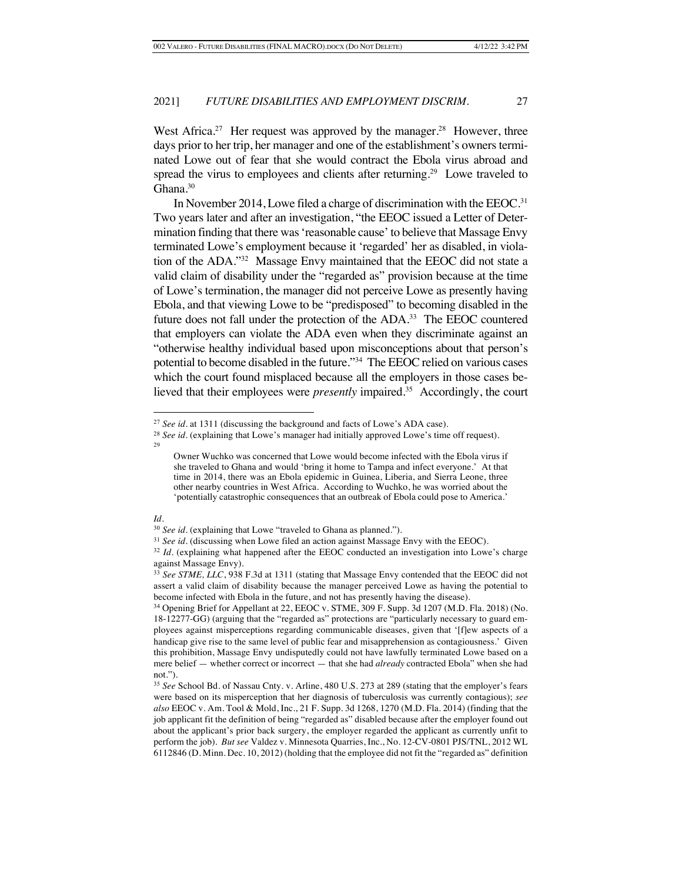West Africa.<sup>27</sup> Her request was approved by the manager.<sup>28</sup> However, three days prior to her trip, her manager and one of the establishment's owners terminated Lowe out of fear that she would contract the Ebola virus abroad and spread the virus to employees and clients after returning.<sup>29</sup> Lowe traveled to Ghana.<sup>30</sup>

In November 2014, Lowe filed a charge of discrimination with the EEOC.<sup>31</sup> Two years later and after an investigation, "the EEOC issued a Letter of Determination finding that there was 'reasonable cause' to believe that Massage Envy terminated Lowe's employment because it 'regarded' her as disabled, in violation of the ADA."32 Massage Envy maintained that the EEOC did not state a valid claim of disability under the "regarded as" provision because at the time of Lowe's termination, the manager did not perceive Lowe as presently having Ebola, and that viewing Lowe to be "predisposed" to becoming disabled in the future does not fall under the protection of the ADA.33 The EEOC countered that employers can violate the ADA even when they discriminate against an "otherwise healthy individual based upon misconceptions about that person's potential to become disabled in the future."34 The EEOC relied on various cases which the court found misplaced because all the employers in those cases believed that their employees were *presently* impaired.<sup>35</sup> Accordingly, the court

<sup>27</sup> *See id.* at 1311 (discussing the background and facts of Lowe's ADA case).

<sup>&</sup>lt;sup>28</sup> *See id.* (explaining that Lowe's manager had initially approved Lowe's time off request).

 $29$ 

Owner Wuchko was concerned that Lowe would become infected with the Ebola virus if she traveled to Ghana and would 'bring it home to Tampa and infect everyone.' At that time in 2014, there was an Ebola epidemic in Guinea, Liberia, and Sierra Leone, three other nearby countries in West Africa. According to Wuchko, he was worried about the 'potentially catastrophic consequences that an outbreak of Ebola could pose to America.'

<sup>30</sup> *See id.* (explaining that Lowe "traveled to Ghana as planned.").

<sup>&</sup>lt;sup>31</sup> *See id.* (discussing when Lowe filed an action against Massage Envy with the EEOC).

<sup>&</sup>lt;sup>32</sup> *Id.* (explaining what happened after the EEOC conducted an investigation into Lowe's charge against Massage Envy).

<sup>33</sup> *See STME, LLC*, 938 F.3d at 1311 (stating that Massage Envy contended that the EEOC did not assert a valid claim of disability because the manager perceived Lowe as having the potential to become infected with Ebola in the future, and not has presently having the disease).

<sup>34</sup> Opening Brief for Appellant at 22, EEOC v. STME, 309 F. Supp. 3d 1207 (M.D. Fla. 2018) (No. 18-12277-GG) (arguing that the "regarded as" protections are "particularly necessary to guard employees against misperceptions regarding communicable diseases, given that '[f]ew aspects of a handicap give rise to the same level of public fear and misapprehension as contagiousness.' Given this prohibition, Massage Envy undisputedly could not have lawfully terminated Lowe based on a mere belief — whether correct or incorrect — that she had *already* contracted Ebola" when she had not.").

<sup>35</sup> *See* School Bd. of Nassau Cnty. v. Arline, 480 U.S. 273 at 289 (stating that the employer's fears were based on its misperception that her diagnosis of tuberculosis was currently contagious); *see also* EEOC v. Am. Tool & Mold, Inc., 21 F. Supp. 3d 1268, 1270 (M.D. Fla. 2014) (finding that the job applicant fit the definition of being "regarded as" disabled because after the employer found out about the applicant's prior back surgery, the employer regarded the applicant as currently unfit to perform the job). *But see* Valdez v. Minnesota Quarries, Inc., No. 12-CV-0801 PJS/TNL, 2012 WL 6112846 (D. Minn. Dec. 10, 2012) (holding that the employee did not fit the "regarded as" definition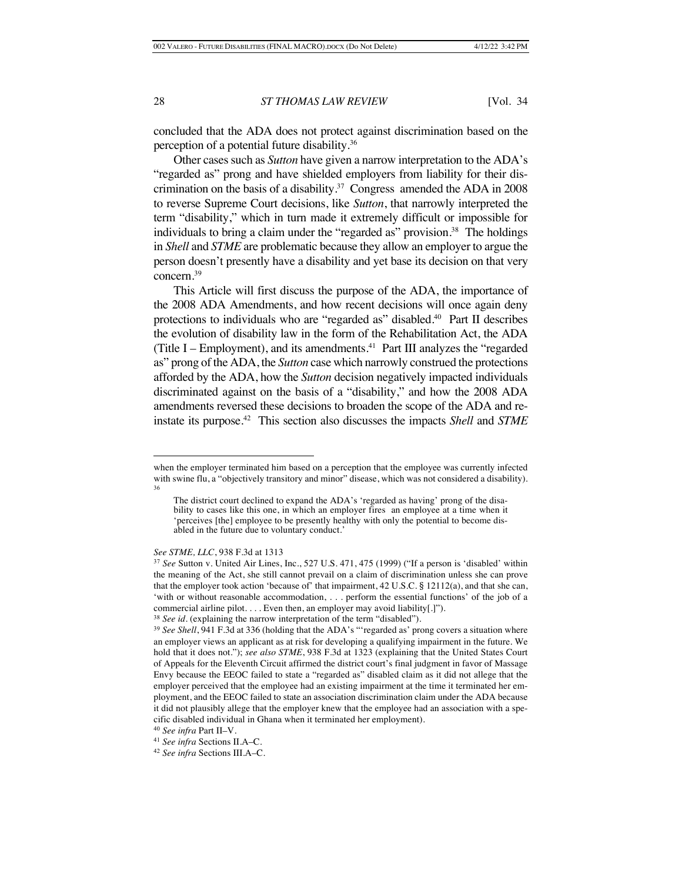concluded that the ADA does not protect against discrimination based on the perception of a potential future disability. 36

Other cases such as *Sutton* have given a narrow interpretation to the ADA's "regarded as" prong and have shielded employers from liability for their discrimination on the basis of a disability.<sup>37</sup> Congress amended the ADA in 2008 to reverse Supreme Court decisions, like *Sutton*, that narrowly interpreted the term "disability," which in turn made it extremely difficult or impossible for individuals to bring a claim under the "regarded as" provision. 38 The holdings in *Shell* and *STME* are problematic because they allow an employer to argue the person doesn't presently have a disability and yet base its decision on that very concern.39

This Article will first discuss the purpose of the ADA, the importance of the 2008 ADA Amendments, and how recent decisions will once again deny protections to individuals who are "regarded as" disabled.<sup>40</sup> Part II describes the evolution of disability law in the form of the Rehabilitation Act, the ADA (Title I – Employment), and its amendments.<sup>41</sup> Part III analyzes the "regarded" as" prong of the ADA, the *Sutton* case which narrowly construed the protections afforded by the ADA, how the *Sutton* decision negatively impacted individuals discriminated against on the basis of a "disability," and how the 2008 ADA amendments reversed these decisions to broaden the scope of the ADA and reinstate its purpose.42 This section also discusses the impacts *Shell* and *STME* 

*See STME, LLC*, 938 F.3d at 1313

when the employer terminated him based on a perception that the employee was currently infected with swine flu, a "objectively transitory and minor" disease, which was not considered a disability). 36

The district court declined to expand the ADA's 'regarded as having' prong of the disability to cases like this one, in which an employer fires an employee at a time when it 'perceives [the] employee to be presently healthy with only the potential to become disabled in the future due to voluntary conduct.'

<sup>37</sup> *See* Sutton v. United Air Lines, Inc., 527 U.S. 471, 475 (1999) ("If a person is 'disabled' within the meaning of the Act, she still cannot prevail on a claim of discrimination unless she can prove that the employer took action 'because of' that impairment, 42 U.S.C. § 12112(a), and that she can, 'with or without reasonable accommodation, . . . perform the essential functions' of the job of a commercial airline pilot. . . . Even then, an employer may avoid liability[.]").

<sup>&</sup>lt;sup>38</sup> *See id.* (explaining the narrow interpretation of the term "disabled").

<sup>&</sup>lt;sup>39</sup> See Shell, 941 F.3d at 336 (holding that the ADA's "'regarded as' prong covers a situation where an employer views an applicant as at risk for developing a qualifying impairment in the future. We hold that it does not."); *see also STME*, 938 F.3d at 1323 (explaining that the United States Court of Appeals for the Eleventh Circuit affirmed the district court's final judgment in favor of Massage Envy because the EEOC failed to state a "regarded as" disabled claim as it did not allege that the employer perceived that the employee had an existing impairment at the time it terminated her employment, and the EEOC failed to state an association discrimination claim under the ADA because it did not plausibly allege that the employer knew that the employee had an association with a specific disabled individual in Ghana when it terminated her employment).

<sup>40</sup> *See infra* Part II–V.

<sup>41</sup> *See infra* Sections II.A–C.

<sup>42</sup> *See infra* Sections III.A–C.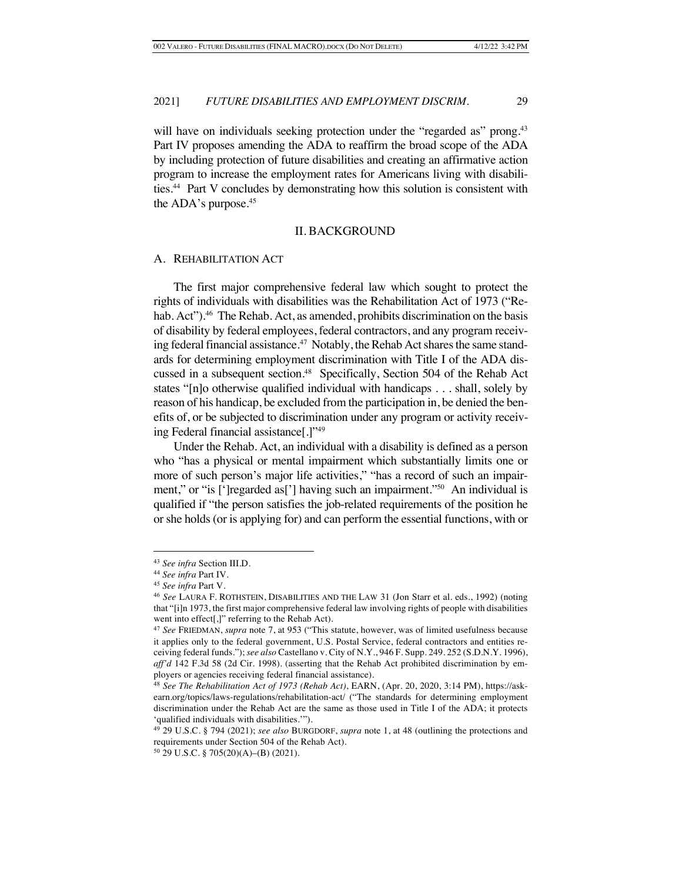will have on individuals seeking protection under the "regarded as" prong.<sup>43</sup> Part IV proposes amending the ADA to reaffirm the broad scope of the ADA by including protection of future disabilities and creating an affirmative action program to increase the employment rates for Americans living with disabilities.44 Part V concludes by demonstrating how this solution is consistent with the ADA's purpose.45

#### II. BACKGROUND

#### A. REHABILITATION ACT

The first major comprehensive federal law which sought to protect the rights of individuals with disabilities was the Rehabilitation Act of 1973 ("Rehab. Act").<sup>46</sup> The Rehab. Act, as amended, prohibits discrimination on the basis of disability by federal employees, federal contractors, and any program receiving federal financial assistance.<sup>47</sup> Notably, the Rehab Act shares the same standards for determining employment discrimination with Title I of the ADA discussed in a subsequent section.<sup>48</sup> Specifically, Section 504 of the Rehab Act states "[n]o otherwise qualified individual with handicaps . . . shall, solely by reason of his handicap, be excluded from the participation in, be denied the benefits of, or be subjected to discrimination under any program or activity receiving Federal financial assistance[.]"49

Under the Rehab. Act, an individual with a disability is defined as a person who "has a physical or mental impairment which substantially limits one or more of such person's major life activities," "has a record of such an impairment," or "is [']regarded as<sup>[']</sup>] having such an impairment."<sup>50</sup> An individual is qualified if "the person satisfies the job-related requirements of the position he or she holds (or is applying for) and can perform the essential functions, with or

<sup>43</sup> *See infra* Section III.D.

<sup>44</sup> *See infra* Part IV.

<sup>45</sup> *See infra* Part V.

<sup>46</sup> *See* LAURA F. ROTHSTEIN, DISABILITIES AND THE LAW 31 (Jon Starr et al. eds., 1992) (noting that "[i]n 1973, the first major comprehensive federal law involving rights of people with disabilities went into effect[,]" referring to the Rehab Act).

<sup>47</sup> *See* FRIEDMAN, *supra* note 7, at 953 ("This statute, however, was of limited usefulness because it applies only to the federal government, U.S. Postal Service, federal contractors and entities receiving federal funds."); *see also* Castellano v. City of N.Y., 946 F. Supp. 249. 252 (S.D.N.Y. 1996), *aff'd* 142 F.3d 58 (2d Cir. 1998). (asserting that the Rehab Act prohibited discrimination by employers or agencies receiving federal financial assistance).

<sup>48</sup> *See The Rehabilitation Act of 1973 (Rehab Act)*, EARN, (Apr. 20, 2020, 3:14 PM), https://askearn.org/topics/laws-regulations/rehabilitation-act/ ("The standards for determining employment discrimination under the Rehab Act are the same as those used in Title I of the ADA; it protects 'qualified individuals with disabilities.'").

<sup>49</sup> 29 U.S.C. § 794 (2021); *see also* BURGDORF, *supra* note 1, at 48 (outlining the protections and requirements under Section 504 of the Rehab Act).

<sup>50</sup> 29 U.S.C. § 705(20)(A)–(B) (2021).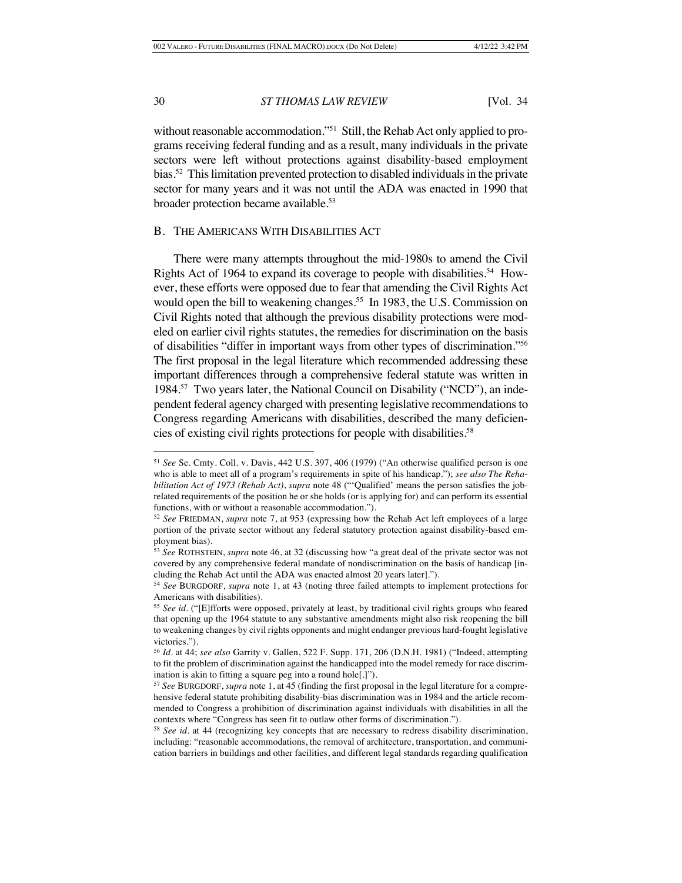without reasonable accommodation."<sup>51</sup> Still, the Rehab Act only applied to programs receiving federal funding and as a result, many individuals in the private sectors were left without protections against disability-based employment bias.52 This limitation prevented protection to disabled individuals in the private sector for many years and it was not until the ADA was enacted in 1990 that broader protection became available.<sup>53</sup>

#### B. THE AMERICANS WITH DISABILITIES ACT

There were many attempts throughout the mid-1980s to amend the Civil Rights Act of 1964 to expand its coverage to people with disabilities.<sup>54</sup> However, these efforts were opposed due to fear that amending the Civil Rights Act would open the bill to weakening changes.<sup>55</sup> In 1983, the U.S. Commission on Civil Rights noted that although the previous disability protections were modeled on earlier civil rights statutes, the remedies for discrimination on the basis of disabilities "differ in important ways from other types of discrimination."56 The first proposal in the legal literature which recommended addressing these important differences through a comprehensive federal statute was written in 1984.57 Two years later, the National Council on Disability ("NCD"), an independent federal agency charged with presenting legislative recommendations to Congress regarding Americans with disabilities, described the many deficiencies of existing civil rights protections for people with disabilities.58

<sup>51</sup> *See* Se. Cmty. Coll. v. Davis, 442 U.S. 397, 406 (1979) ("An otherwise qualified person is one who is able to meet all of a program's requirements in spite of his handicap."); *see also The Rehabilitation Act of 1973 (Rehab Act)*, *supra* note 48 ("'Qualified' means the person satisfies the jobrelated requirements of the position he or she holds (or is applying for) and can perform its essential functions, with or without a reasonable accommodation.").

<sup>52</sup> *See* FRIEDMAN, *supra* note 7, at 953 (expressing how the Rehab Act left employees of a large portion of the private sector without any federal statutory protection against disability-based employment bias).

<sup>53</sup> *See* ROTHSTEIN, *supra* note 46, at 32 (discussing how "a great deal of the private sector was not covered by any comprehensive federal mandate of nondiscrimination on the basis of handicap [including the Rehab Act until the ADA was enacted almost 20 years later].").

<sup>54</sup> *See* BURGDORF, *supra* note 1, at 43 (noting three failed attempts to implement protections for Americans with disabilities).

<sup>55</sup> *See id.* ("[E]fforts were opposed, privately at least, by traditional civil rights groups who feared that opening up the 1964 statute to any substantive amendments might also risk reopening the bill to weakening changes by civil rights opponents and might endanger previous hard-fought legislative victories.").

<sup>56</sup> *Id.* at 44; *see also* Garrity v. Gallen, 522 F. Supp. 171, 206 (D.N.H. 1981) ("Indeed, attempting to fit the problem of discrimination against the handicapped into the model remedy for race discrimination is akin to fitting a square peg into a round hole[.]").

<sup>57</sup> *See* BURGDORF, *supra* note 1, at 45 (finding the first proposal in the legal literature for a comprehensive federal statute prohibiting disability-bias discrimination was in 1984 and the article recommended to Congress a prohibition of discrimination against individuals with disabilities in all the contexts where "Congress has seen fit to outlaw other forms of discrimination.").

<sup>58</sup> *See id.* at 44 (recognizing key concepts that are necessary to redress disability discrimination, including: "reasonable accommodations, the removal of architecture, transportation, and communication barriers in buildings and other facilities, and different legal standards regarding qualification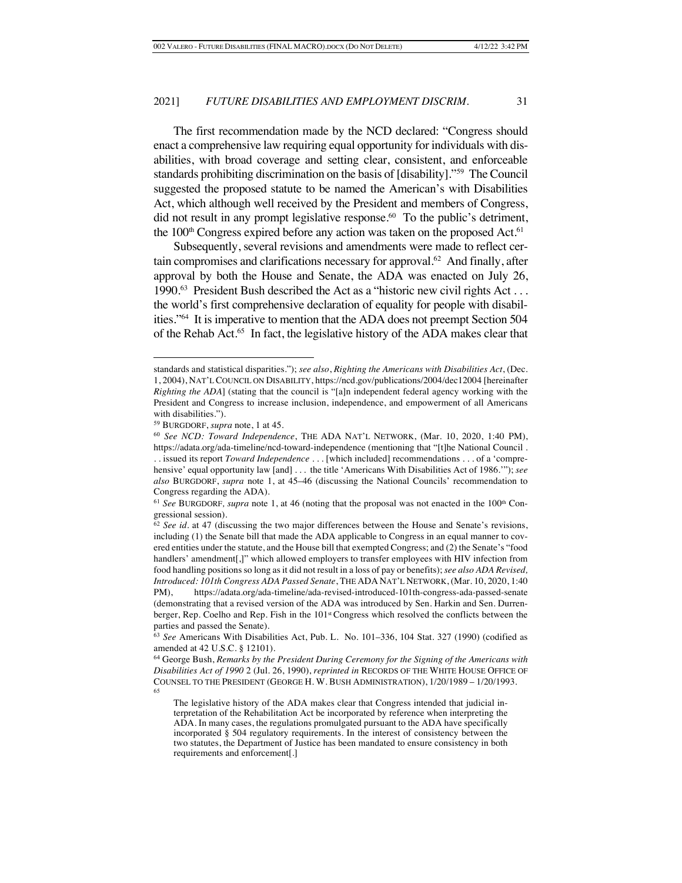The first recommendation made by the NCD declared: "Congress should enact a comprehensive law requiring equal opportunity for individuals with disabilities, with broad coverage and setting clear, consistent, and enforceable standards prohibiting discrimination on the basis of [disability]."59 The Council suggested the proposed statute to be named the American's with Disabilities Act, which although well received by the President and members of Congress, did not result in any prompt legislative response.<sup>60</sup> To the public's detriment, the  $100<sup>th</sup>$  Congress expired before any action was taken on the proposed Act.<sup>61</sup>

Subsequently, several revisions and amendments were made to reflect certain compromises and clarifications necessary for approval.62 And finally, after approval by both the House and Senate, the ADA was enacted on July 26, 1990.63 President Bush described the Act as a "historic new civil rights Act . . . the world's first comprehensive declaration of equality for people with disabilities."64 It is imperative to mention that the ADA does not preempt Section 504 of the Rehab Act.65 In fact, the legislative history of the ADA makes clear that

standards and statistical disparities."); *see also*, *Righting the Americans with Disabilities Act*, (Dec. 1, 2004), NAT'L COUNCIL ON DISABILITY, https://ncd.gov/publications/2004/dec12004 [hereinafter *Righting the ADA*] (stating that the council is "[a]n independent federal agency working with the President and Congress to increase inclusion, independence, and empowerment of all Americans with disabilities.").

<sup>59</sup> BURGDORF, *supra* note, 1 at 45.

<sup>60</sup> *See NCD: Toward Independence*, THE ADA NAT'L NETWORK, (Mar. 10, 2020, 1:40 PM), https://adata.org/ada-timeline/ncd-toward-independence (mentioning that "[t]he National Council . . . issued its report *Toward Independence* . . . [which included] recommendations . . . of a 'compre-

hensive' equal opportunity law [and] . . . the title 'Americans With Disabilities Act of 1986.'"); *see also* BURGDORF, *supra* note 1, at 45–46 (discussing the National Councils' recommendation to Congress regarding the ADA).

<sup>&</sup>lt;sup>61</sup> See BURGDORF, supra note 1, at 46 (noting that the proposal was not enacted in the 100<sup>th</sup> Congressional session).

<sup>62</sup> *See id.* at 47 (discussing the two major differences between the House and Senate's revisions, including (1) the Senate bill that made the ADA applicable to Congress in an equal manner to covered entities under the statute, and the House bill that exempted Congress; and (2) the Senate's "food handlers' amendment[,]" which allowed employers to transfer employees with HIV infection from food handling positions so long as it did not result in a loss of pay or benefits); *see also ADA Revised, Introduced: 101th Congress ADA Passed Senate*, THE ADA NAT'L NETWORK, (Mar. 10, 2020, 1:40 PM), https://adata.org/ada-timeline/ada-revised-introduced-101th-congress-ada-passed-senate (demonstrating that a revised version of the ADA was introduced by Sen. Harkin and Sen. Durrenberger, Rep. Coelho and Rep. Fish in the 101st Congress which resolved the conflicts between the parties and passed the Senate).

<sup>63</sup> *See* Americans With Disabilities Act, Pub. L. No. 101–336, 104 Stat. 327 (1990) (codified as amended at 42 U.S.C. § 12101).

<sup>64</sup> George Bush, *Remarks by the President During Ceremony for the Signing of the Americans with Disabilities Act of 1990* 2 (Jul. 26, 1990), *reprinted in* RECORDS OF THE WHITE HOUSE OFFICE OF COUNSEL TO THE PRESIDENT (GEORGE H. W. BUSH ADMINISTRATION), 1/20/1989 – 1/20/1993. 65

The legislative history of the ADA makes clear that Congress intended that judicial interpretation of the Rehabilitation Act be incorporated by reference when interpreting the ADA. In many cases, the regulations promulgated pursuant to the ADA have specifically incorporated § 504 regulatory requirements. In the interest of consistency between the two statutes, the Department of Justice has been mandated to ensure consistency in both requirements and enforcement[.]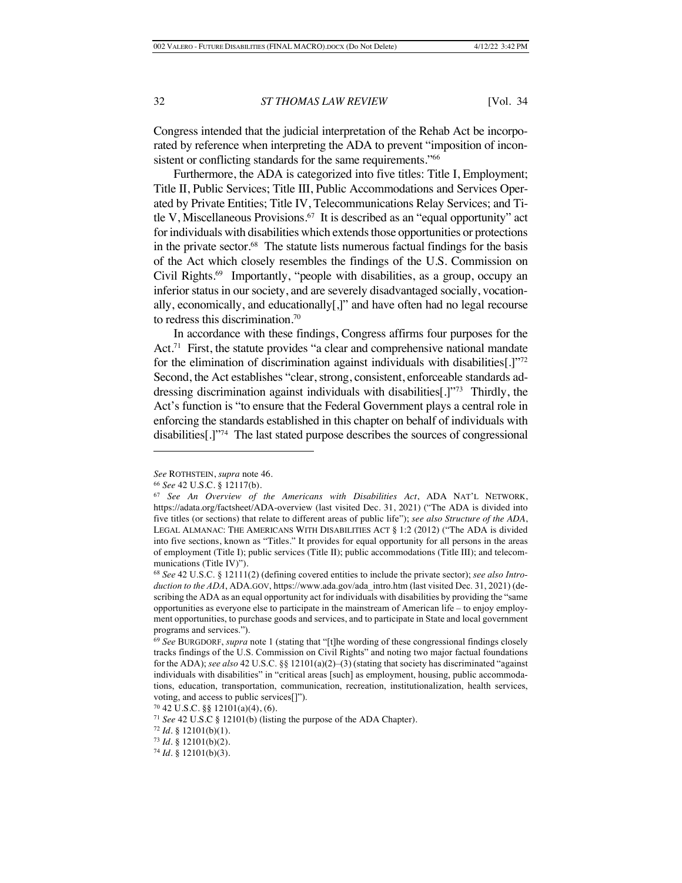Congress intended that the judicial interpretation of the Rehab Act be incorporated by reference when interpreting the ADA to prevent "imposition of inconsistent or conflicting standards for the same requirements."<sup>66</sup>

Furthermore, the ADA is categorized into five titles: Title I, Employment; Title II, Public Services; Title III, Public Accommodations and Services Operated by Private Entities; Title IV, Telecommunications Relay Services; and Title V, Miscellaneous Provisions.<sup>67</sup> It is described as an "equal opportunity" act for individuals with disabilities which extends those opportunities or protections in the private sector.<sup>68</sup> The statute lists numerous factual findings for the basis of the Act which closely resembles the findings of the U.S. Commission on Civil Rights.69 Importantly, "people with disabilities, as a group, occupy an inferior status in our society, and are severely disadvantaged socially, vocationally, economically, and educationally[,]" and have often had no legal recourse to redress this discrimination.70

In accordance with these findings, Congress affirms four purposes for the Act.<sup>71</sup> First, the statute provides "a clear and comprehensive national mandate for the elimination of discrimination against individuals with disabilities[.]"72 Second, the Act establishes "clear, strong, consistent, enforceable standards addressing discrimination against individuals with disabilities[.]"73 Thirdly, the Act's function is "to ensure that the Federal Government plays a central role in enforcing the standards established in this chapter on behalf of individuals with disabilities[.]"74 The last stated purpose describes the sources of congressional

*See* ROTHSTEIN, *supra* note 46.

<sup>66</sup> *See* 42 U.S.C. § 12117(b).

<sup>67</sup> *See An Overview of the Americans with Disabilities Act*, ADA NAT'L NETWORK, https://adata.org/factsheet/ADA-overview (last visited Dec. 31, 2021) ("The ADA is divided into five titles (or sections) that relate to different areas of public life"); *see also Structure of the ADA*, LEGAL ALMANAC: THE AMERICANS WITH DISABILITIES ACT § 1:2 (2012) ("The ADA is divided into five sections, known as "Titles." It provides for equal opportunity for all persons in the areas of employment (Title I); public services (Title II); public accommodations (Title III); and telecommunications (Title IV)").

<sup>68</sup> *See* 42 U.S.C. § 12111(2) (defining covered entities to include the private sector); *see also Introduction to the ADA*, ADA.GOV, https://www.ada.gov/ada\_intro.htm (last visited Dec. 31, 2021) (describing the ADA as an equal opportunity act for individuals with disabilities by providing the "same opportunities as everyone else to participate in the mainstream of American life – to enjoy employment opportunities, to purchase goods and services, and to participate in State and local government programs and services.").

<sup>69</sup> *See* BURGDORF, *supra* note 1 (stating that "[t]he wording of these congressional findings closely tracks findings of the U.S. Commission on Civil Rights" and noting two major factual foundations for the ADA); *see also* 42 U.S.C. §§ 12101(a)(2)–(3) (stating that society has discriminated "against individuals with disabilities" in "critical areas [such] as employment, housing, public accommodations, education, transportation, communication, recreation, institutionalization, health services, voting, and access to public services[]").

 $70\,42\,$  U.S.C. §§ 12101(a)(4), (6).

<sup>71</sup> *See* 42 U.S.C § 12101(b) (listing the purpose of the ADA Chapter).

<sup>72</sup> *Id.* § 12101(b)(1).

<sup>73</sup> *Id.* § 12101(b)(2).

<sup>74</sup> *Id.* § 12101(b)(3).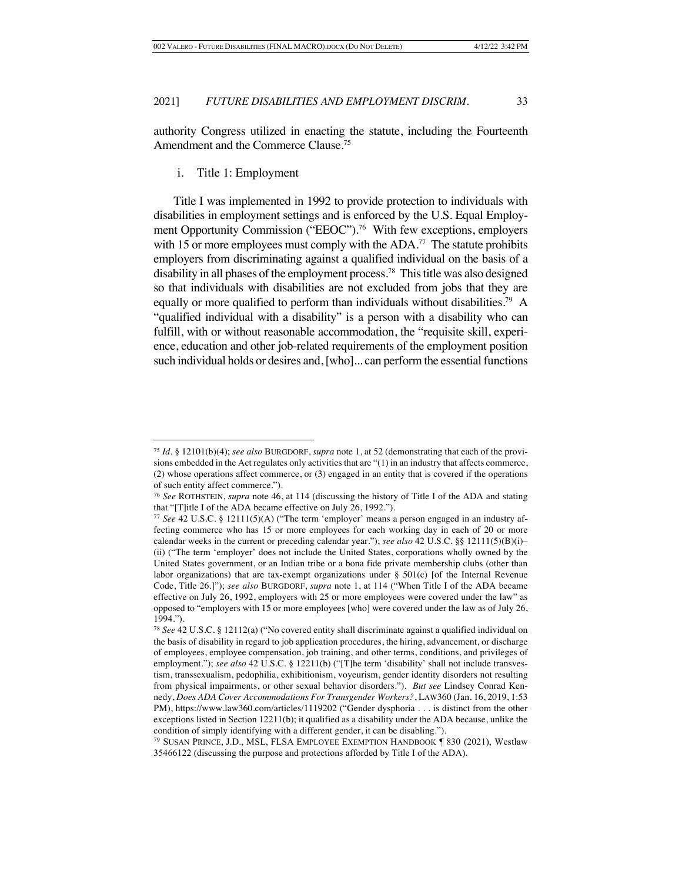authority Congress utilized in enacting the statute, including the Fourteenth Amendment and the Commerce Clause.75

i. Title 1: Employment

Title I was implemented in 1992 to provide protection to individuals with disabilities in employment settings and is enforced by the U.S. Equal Employment Opportunity Commission ("EEOC").<sup>76</sup> With few exceptions, employers with 15 or more employees must comply with the  $ADA$ .<sup>77</sup> The statute prohibits employers from discriminating against a qualified individual on the basis of a disability in all phases of the employment process.78 This title was also designed so that individuals with disabilities are not excluded from jobs that they are equally or more qualified to perform than individuals without disabilities.<sup>79</sup> A "qualified individual with a disability" is a person with a disability who can fulfill, with or without reasonable accommodation, the "requisite skill, experience, education and other job-related requirements of the employment position such individual holds or desires and, [who]... can perform the essential functions

<sup>75</sup> *Id.* § 12101(b)(4); *see also* BURGDORF, *supra* note 1, at 52 (demonstrating that each of the provisions embedded in the Act regulates only activities that are "(1) in an industry that affects commerce, (2) whose operations affect commerce, or (3) engaged in an entity that is covered if the operations of such entity affect commerce.").

<sup>76</sup> *See* ROTHSTEIN, *supra* note 46, at 114 (discussing the history of Title I of the ADA and stating that "[T]itle I of the ADA became effective on July 26, 1992.").

<sup>77</sup> *See* 42 U.S.C. § 12111(5)(A) ("The term 'employer' means a person engaged in an industry affecting commerce who has 15 or more employees for each working day in each of 20 or more calendar weeks in the current or preceding calendar year."); *see also* 42 U.S.C. §§ 12111(5)(B)(i)– (ii) ("The term 'employer' does not include the United States, corporations wholly owned by the United States government, or an Indian tribe or a bona fide private membership clubs (other than labor organizations) that are tax-exempt organizations under § 501(c) [of the Internal Revenue Code, Title 26.]"); *see also* BURGDORF, *supra* note 1, at 114 ("When Title I of the ADA became effective on July 26, 1992, employers with 25 or more employees were covered under the law" as opposed to "employers with 15 or more employees [who] were covered under the law as of July 26, 1994.").

<sup>78</sup> *See* 42 U.S.C. § 12112(a) ("No covered entity shall discriminate against a qualified individual on the basis of disability in regard to job application procedures, the hiring, advancement, or discharge of employees, employee compensation, job training, and other terms, conditions, and privileges of employment."); see also 42 U.S.C. § 12211(b) ("[T]he term 'disability' shall not include transvestism, transsexualism, pedophilia, exhibitionism, voyeurism, gender identity disorders not resulting from physical impairments, or other sexual behavior disorders."). *But see* Lindsey Conrad Kennedy, *Does ADA Cover Accommodations For Transgender Workers?*, LAW360 (Jan. 16, 2019, 1:53 PM), https://www.law360.com/articles/1119202 ("Gender dysphoria . . . is distinct from the other exceptions listed in Section 12211(b); it qualified as a disability under the ADA because, unlike the condition of simply identifying with a different gender, it can be disabling.").

<sup>79</sup> SUSAN PRINCE, J.D., MSL, FLSA EMPLOYEE EXEMPTION HANDBOOK ¶ 830 (2021), Westlaw 35466122 (discussing the purpose and protections afforded by Title I of the ADA).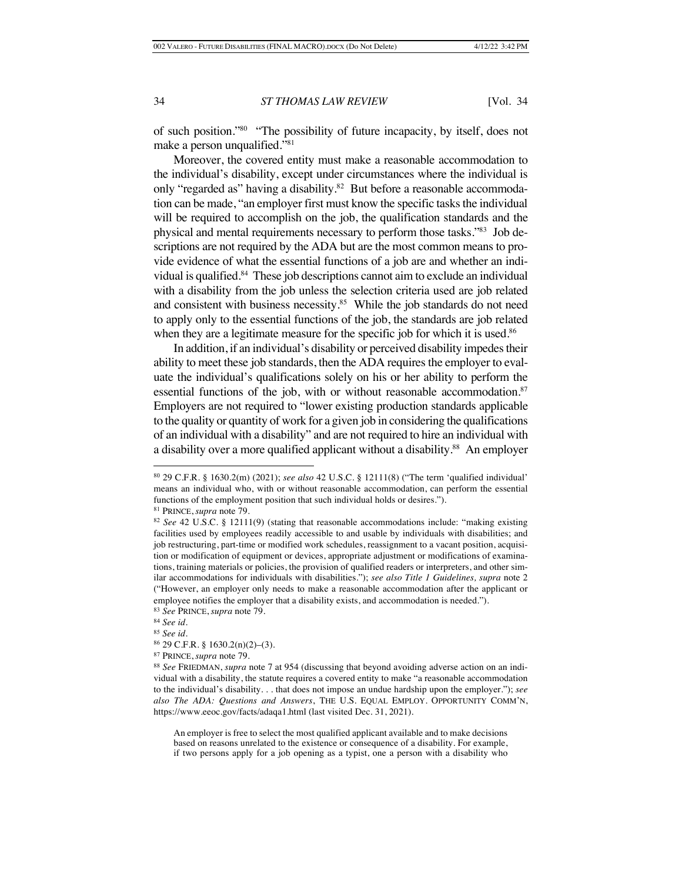of such position."80 "The possibility of future incapacity, by itself, does not make a person unqualified."81

Moreover, the covered entity must make a reasonable accommodation to the individual's disability, except under circumstances where the individual is only "regarded as" having a disability.<sup>82</sup> But before a reasonable accommodation can be made, "an employer first must know the specific tasks the individual will be required to accomplish on the job, the qualification standards and the physical and mental requirements necessary to perform those tasks."83 Job descriptions are not required by the ADA but are the most common means to provide evidence of what the essential functions of a job are and whether an individual is qualified.<sup>84</sup> These job descriptions cannot aim to exclude an individual with a disability from the job unless the selection criteria used are job related and consistent with business necessity.<sup>85</sup> While the job standards do not need to apply only to the essential functions of the job, the standards are job related when they are a legitimate measure for the specific job for which it is used.<sup>86</sup>

In addition, if an individual's disability or perceived disability impedes their ability to meet these job standards, then the ADA requires the employer to evaluate the individual's qualifications solely on his or her ability to perform the essential functions of the job, with or without reasonable accommodation.<sup>87</sup> Employers are not required to "lower existing production standards applicable to the quality or quantity of work for a given job in considering the qualifications of an individual with a disability" and are not required to hire an individual with a disability over a more qualified applicant without a disability.<sup>88</sup> An employer

An employer is free to select the most qualified applicant available and to make decisions based on reasons unrelated to the existence or consequence of a disability. For example, if two persons apply for a job opening as a typist, one a person with a disability who

<sup>80</sup> 29 C.F.R. § 1630.2(m) (2021); *see also* 42 U.S.C. § 12111(8) ("The term 'qualified individual' means an individual who, with or without reasonable accommodation, can perform the essential functions of the employment position that such individual holds or desires.").

<sup>81</sup> PRINCE, *supra* note 79.

<sup>82</sup> *See* 42 U.S.C. § 12111(9) (stating that reasonable accommodations include: "making existing facilities used by employees readily accessible to and usable by individuals with disabilities; and job restructuring, part-time or modified work schedules, reassignment to a vacant position, acquisition or modification of equipment or devices, appropriate adjustment or modifications of examinations, training materials or policies, the provision of qualified readers or interpreters, and other similar accommodations for individuals with disabilities."); *see also Title 1 Guidelines, supra* note 2 ("However, an employer only needs to make a reasonable accommodation after the applicant or employee notifies the employer that a disability exists, and accommodation is needed."). <sup>83</sup> *See* PRINCE, *supra* note 79.

<sup>84</sup> *See id.*

<sup>85</sup> *See id.*

<sup>86</sup> 29 C.F.R. § 1630.2(n)(2)–(3).

<sup>87</sup> PRINCE, *supra* note 79.

<sup>88</sup> *See* FRIEDMAN, *supra* note 7 at 954 (discussing that beyond avoiding adverse action on an individual with a disability, the statute requires a covered entity to make "a reasonable accommodation to the individual's disability. . . that does not impose an undue hardship upon the employer."); *see also The ADA: Questions and Answers*, THE U.S. EQUAL EMPLOY. OPPORTUNITY COMM'N, https://www.eeoc.gov/facts/adaqa1.html (last visited Dec. 31, 2021).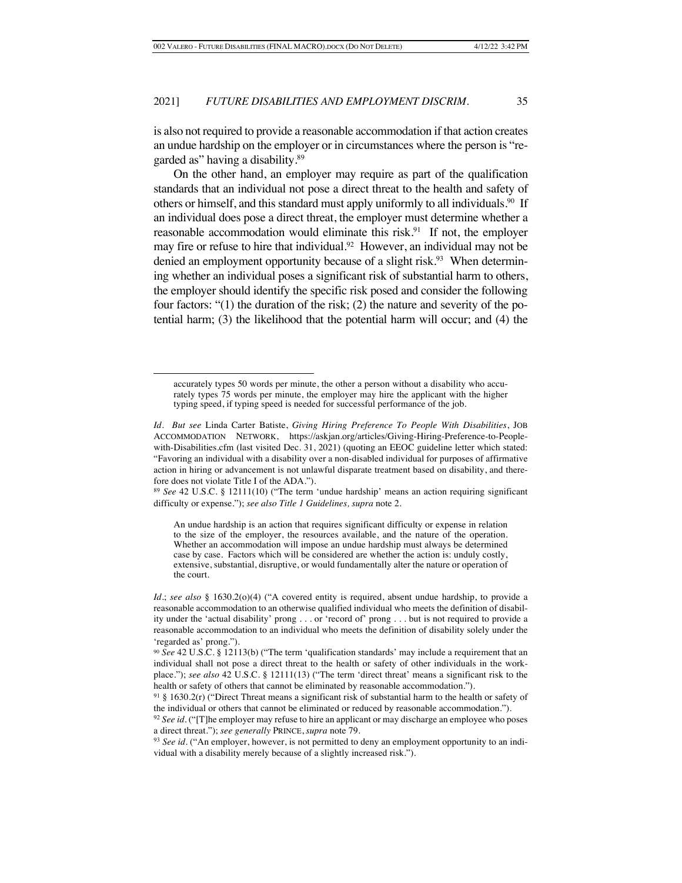is also not required to provide a reasonable accommodation if that action creates an undue hardship on the employer or in circumstances where the person is "regarded as" having a disability.89

On the other hand, an employer may require as part of the qualification standards that an individual not pose a direct threat to the health and safety of others or himself, and this standard must apply uniformly to all individuals.<sup>90</sup> If an individual does pose a direct threat, the employer must determine whether a reasonable accommodation would eliminate this risk.<sup>91</sup> If not, the employer may fire or refuse to hire that individual.<sup>92</sup> However, an individual may not be denied an employment opportunity because of a slight risk.<sup>93</sup> When determining whether an individual poses a significant risk of substantial harm to others, the employer should identify the specific risk posed and consider the following four factors: "(1) the duration of the risk; (2) the nature and severity of the potential harm; (3) the likelihood that the potential harm will occur; and (4) the

<sup>89</sup> *See* 42 U.S.C. § 12111(10) ("The term 'undue hardship' means an action requiring significant difficulty or expense."); *see also Title 1 Guidelines, supra* note 2.

An undue hardship is an action that requires significant difficulty or expense in relation to the size of the employer, the resources available, and the nature of the operation. Whether an accommodation will impose an undue hardship must always be determined case by case. Factors which will be considered are whether the action is: unduly costly, extensive, substantial, disruptive, or would fundamentally alter the nature or operation of the court.

accurately types 50 words per minute, the other a person without a disability who accurately types 75 words per minute, the employer may hire the applicant with the higher typing speed, if typing speed is needed for successful performance of the job.

*Id. But see* Linda Carter Batiste, *Giving Hiring Preference To People With Disabilities*, JOB ACCOMMODATION NETWORK, https://askjan.org/articles/Giving-Hiring-Preference-to-Peoplewith-Disabilities.cfm (last visited Dec. 31, 2021) (quoting an EEOC guideline letter which stated: "Favoring an individual with a disability over a non-disabled individual for purposes of affirmative action in hiring or advancement is not unlawful disparate treatment based on disability, and therefore does not violate Title I of the ADA.").

*Id.*; *see also* § 1630.2(o)(4) ("A covered entity is required, absent undue hardship, to provide a reasonable accommodation to an otherwise qualified individual who meets the definition of disability under the 'actual disability' prong . . . or 'record of' prong . . . but is not required to provide a reasonable accommodation to an individual who meets the definition of disability solely under the 'regarded as' prong.").

<sup>90</sup> *See* 42 U.S.C. § 12113(b) ("The term 'qualification standards' may include a requirement that an individual shall not pose a direct threat to the health or safety of other individuals in the workplace."); *see also* 42 U.S.C. § 12111(13) ("The term 'direct threat' means a significant risk to the health or safety of others that cannot be eliminated by reasonable accommodation.").

 $91 \text{ § } 1630.2(r)$  ("Direct Threat means a significant risk of substantial harm to the health or safety of the individual or others that cannot be eliminated or reduced by reasonable accommodation.").

<sup>&</sup>lt;sup>92</sup> *See id.* ("[T]he employer may refuse to hire an applicant or may discharge an employee who poses a direct threat."); *see generally* PRINCE, *supra* note 79.

<sup>93</sup> *See id.* ("An employer, however, is not permitted to deny an employment opportunity to an individual with a disability merely because of a slightly increased risk.").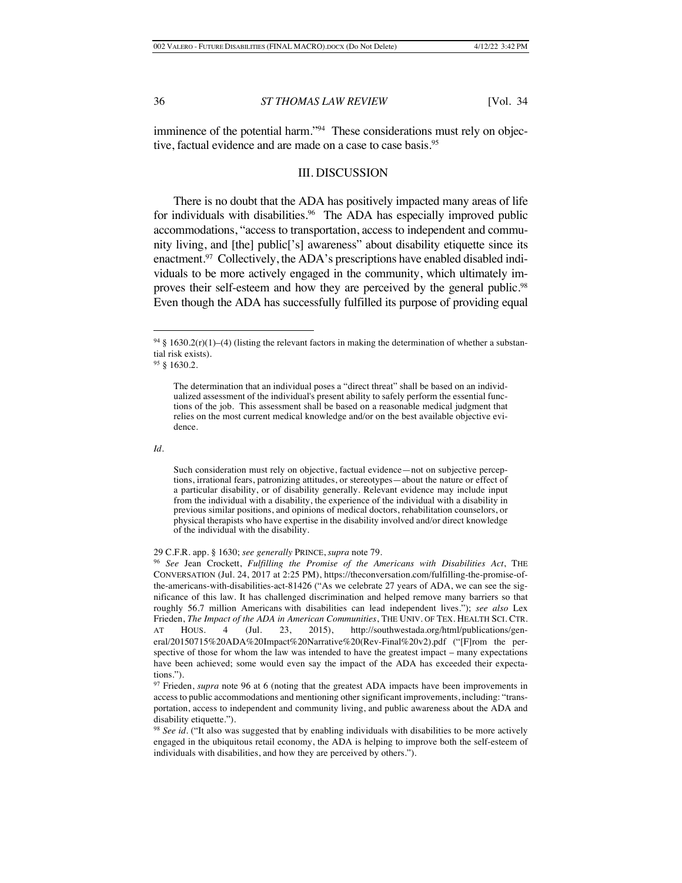imminence of the potential harm."<sup>94</sup> These considerations must rely on objective, factual evidence and are made on a case to case basis.<sup>95</sup>

### III. DISCUSSION

There is no doubt that the ADA has positively impacted many areas of life for individuals with disabilities.<sup>96</sup> The ADA has especially improved public accommodations, "access to transportation, access to independent and community living, and [the] public['s] awareness" about disability etiquette since its enactment.<sup>97</sup> Collectively, the ADA's prescriptions have enabled disabled individuals to be more actively engaged in the community, which ultimately improves their self-esteem and how they are perceived by the general public.<sup>98</sup> Even though the ADA has successfully fulfilled its purpose of providing equal

Such consideration must rely on objective, factual evidence—not on subjective perceptions, irrational fears, patronizing attitudes, or stereotypes—about the nature or effect of a particular disability, or of disability generally. Relevant evidence may include input from the individual with a disability, the experience of the individual with a disability in previous similar positions, and opinions of medical doctors, rehabilitation counselors, or physical therapists who have expertise in the disability involved and/or direct knowledge of the individual with the disability.

29 C.F.R. app. § 1630; *see generally* PRINCE, *supra* note 79.

<sup>96</sup> *See* Jean Crockett, *Fulfilling the Promise of the Americans with Disabilities Act*, THE CONVERSATION (Jul. 24, 2017 at 2:25 PM), https://theconversation.com/fulfilling-the-promise-ofthe-americans-with-disabilities-act-81426 ("As we celebrate 27 years of ADA, we can see the significance of this law. It has challenged discrimination and helped remove many barriers so that roughly 56.7 million Americans with disabilities can lead independent lives."); *see also* Lex Frieden, *The Impact of the ADA in American Communities*, THE UNIV. OF TEX. HEALTH SCI. CTR. AT HOUS. 4 (Jul. 23, 2015), http://southwestada.org/html/publications/general/20150715%20ADA%20Impact%20Narrative%20(Rev-Final%20v2).pdf ("[F]rom the perspective of those for whom the law was intended to have the greatest impact – many expectations have been achieved; some would even say the impact of the ADA has exceeded their expectations.").

<sup>97</sup> Frieden, *supra* note 96 at 6 (noting that the greatest ADA impacts have been improvements in access to public accommodations and mentioning other significant improvements, including: "transportation, access to independent and community living, and public awareness about the ADA and disability etiquette.").

<sup>98</sup> *See id.* ("It also was suggested that by enabling individuals with disabilities to be more actively engaged in the ubiquitous retail economy, the ADA is helping to improve both the self-esteem of individuals with disabilities, and how they are perceived by others.").

<sup>&</sup>lt;sup>94</sup> § 1630.2(r)(1)–(4) (listing the relevant factors in making the determination of whether a substantial risk exists).

<sup>95</sup> § 1630.2.

The determination that an individual poses a "direct threat" shall be based on an individualized assessment of the individual's present ability to safely perform the essential functions of the job. This assessment shall be based on a reasonable medical judgment that relies on the most current medical knowledge and/or on the best available objective evidence.

*Id.*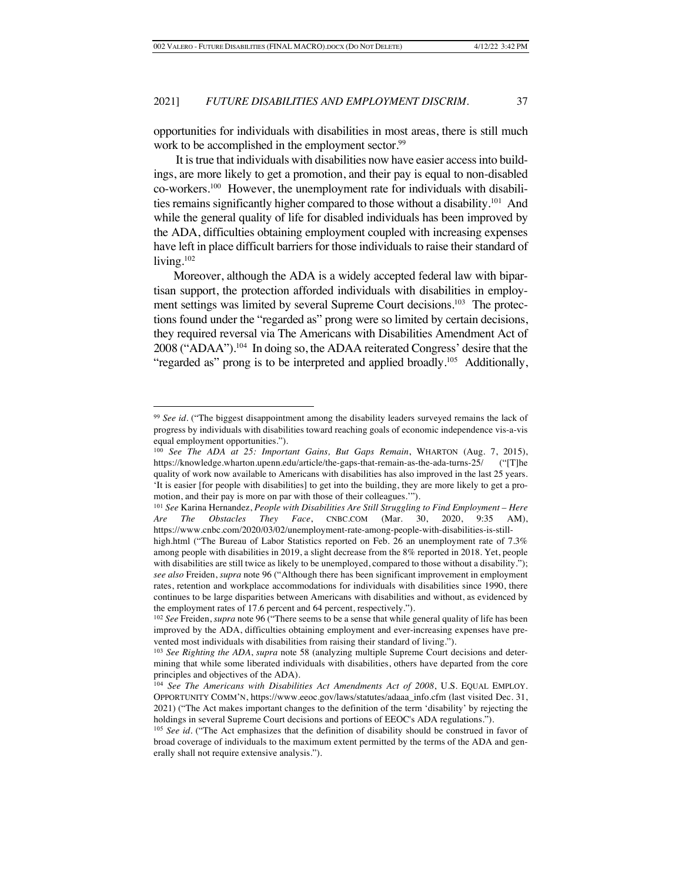opportunities for individuals with disabilities in most areas, there is still much work to be accomplished in the employment sector.<sup>99</sup>

It is true that individuals with disabilities now have easier access into buildings, are more likely to get a promotion, and their pay is equal to non-disabled co-workers.100 However, the unemployment rate for individuals with disabilities remains significantly higher compared to those without a disability.101 And while the general quality of life for disabled individuals has been improved by the ADA, difficulties obtaining employment coupled with increasing expenses have left in place difficult barriers for those individuals to raise their standard of living. $102$ 

Moreover, although the ADA is a widely accepted federal law with bipartisan support, the protection afforded individuals with disabilities in employment settings was limited by several Supreme Court decisions.<sup>103</sup> The protections found under the "regarded as" prong were so limited by certain decisions, they required reversal via The Americans with Disabilities Amendment Act of 2008 ("ADAA").104 In doing so, the ADAA reiterated Congress' desire that the "regarded as" prong is to be interpreted and applied broadly.<sup>105</sup> Additionally,

<sup>99</sup> *See id.* ("The biggest disappointment among the disability leaders surveyed remains the lack of progress by individuals with disabilities toward reaching goals of economic independence vis-a-vis equal employment opportunities.").

<sup>100</sup> *See The ADA at 25: Important Gains, But Gaps Remain*, WHARTON (Aug. 7, 2015), https://knowledge.wharton.upenn.edu/article/the-gaps-that-remain-as-the-ada-turns-25/ ("[T]he quality of work now available to Americans with disabilities has also improved in the last 25 years. 'It is easier [for people with disabilities] to get into the building, they are more likely to get a promotion, and their pay is more on par with those of their colleagues.'").

<sup>101</sup> *See* Karina Hernandez, *People with Disabilities Are Still Struggling to Find Employment – Here Are The Obstacles They Face*, CNBC.COM (Mar. 30, 2020, 9:35 AM), https://www.cnbc.com/2020/03/02/unemployment-rate-among-people-with-disabilities-is-stillhigh.html ("The Bureau of Labor Statistics reported on Feb. 26 an unemployment rate of 7.3% among people with disabilities in 2019, a slight decrease from the 8% reported in 2018. Yet, people with disabilities are still twice as likely to be unemployed, compared to those without a disability."); *see also* Freiden, *supra* note 96 ("Although there has been significant improvement in employment rates, retention and workplace accommodations for individuals with disabilities since 1990, there continues to be large disparities between Americans with disabilities and without, as evidenced by the employment rates of 17.6 percent and 64 percent, respectively.").

<sup>102</sup> *See* Freiden, *supra* note 96 ("There seems to be a sense that while general quality of life has been improved by the ADA, difficulties obtaining employment and ever-increasing expenses have prevented most individuals with disabilities from raising their standard of living.").

<sup>103</sup> *See Righting the ADA*, *supra* note 58 (analyzing multiple Supreme Court decisions and determining that while some liberated individuals with disabilities, others have departed from the core principles and objectives of the ADA).

<sup>104</sup> *See The Americans with Disabilities Act Amendments Act of 2008*, U.S. EQUAL EMPLOY. OPPORTUNITY COMM'N, https://www.eeoc.gov/laws/statutes/adaaa\_info.cfm (last visited Dec. 31, 2021) ("The Act makes important changes to the definition of the term 'disability' by rejecting the holdings in several Supreme Court decisions and portions of EEOC's ADA regulations.").

<sup>&</sup>lt;sup>105</sup> *See id.* ("The Act emphasizes that the definition of disability should be construed in favor of broad coverage of individuals to the maximum extent permitted by the terms of the ADA and generally shall not require extensive analysis.").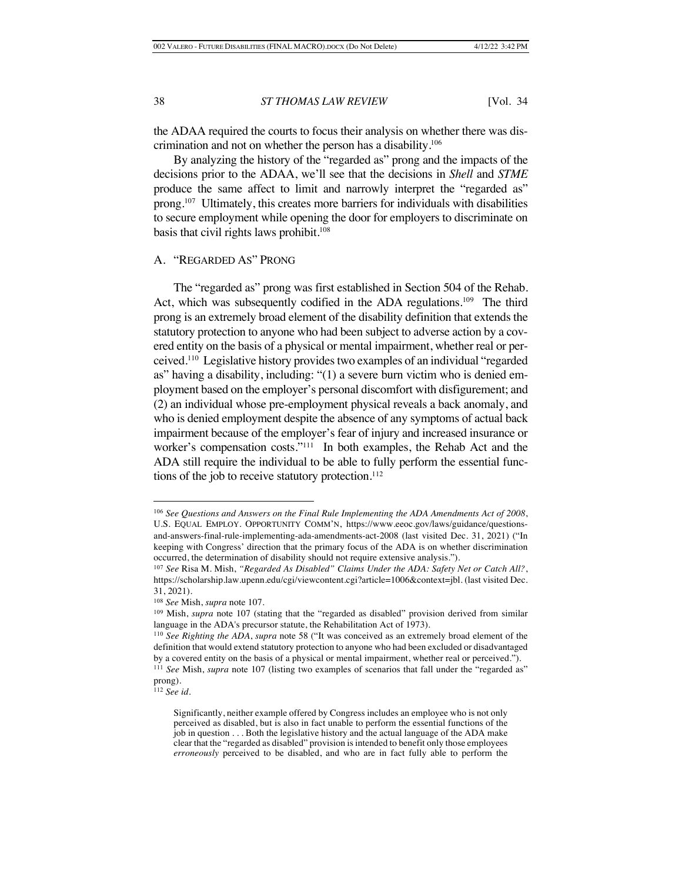the ADAA required the courts to focus their analysis on whether there was discrimination and not on whether the person has a disability.106

By analyzing the history of the "regarded as" prong and the impacts of the decisions prior to the ADAA, we'll see that the decisions in *Shell* and *STME* produce the same affect to limit and narrowly interpret the "regarded as" prong.107 Ultimately, this creates more barriers for individuals with disabilities to secure employment while opening the door for employers to discriminate on basis that civil rights laws prohibit.108

### A. "REGARDED AS" PRONG

The "regarded as" prong was first established in Section 504 of the Rehab. Act, which was subsequently codified in the ADA regulations.<sup>109</sup> The third prong is an extremely broad element of the disability definition that extends the statutory protection to anyone who had been subject to adverse action by a covered entity on the basis of a physical or mental impairment, whether real or perceived.110 Legislative history provides two examples of an individual "regarded as" having a disability, including: "(1) a severe burn victim who is denied employment based on the employer's personal discomfort with disfigurement; and (2) an individual whose pre-employment physical reveals a back anomaly, and who is denied employment despite the absence of any symptoms of actual back impairment because of the employer's fear of injury and increased insurance or worker's compensation costs."111 In both examples, the Rehab Act and the ADA still require the individual to be able to fully perform the essential functions of the job to receive statutory protection.<sup>112</sup>

<sup>106</sup> *See Questions and Answers on the Final Rule Implementing the ADA Amendments Act of 2008*, U.S. EQUAL EMPLOY. OPPORTUNITY COMM'N, https://www.eeoc.gov/laws/guidance/questionsand-answers-final-rule-implementing-ada-amendments-act-2008 (last visited Dec. 31, 2021) ("In keeping with Congress' direction that the primary focus of the ADA is on whether discrimination occurred, the determination of disability should not require extensive analysis.").

<sup>107</sup> *See* Risa M. Mish, *"Regarded As Disabled" Claims Under the ADA: Safety Net or Catch All?*, https://scholarship.law.upenn.edu/cgi/viewcontent.cgi?article=1006&context=jbl. (last visited Dec. 31, 2021).

<sup>108</sup> *See* Mish, *supra* note 107.

<sup>109</sup> Mish, *supra* note 107 (stating that the "regarded as disabled" provision derived from similar language in the ADA's precursor statute, the Rehabilitation Act of 1973).

<sup>110</sup> *See Righting the ADA*, *supra* note 58 ("It was conceived as an extremely broad element of the definition that would extend statutory protection to anyone who had been excluded or disadvantaged by a covered entity on the basis of a physical or mental impairment, whether real or perceived."). <sup>111</sup> *See* Mish, *supra* note 107 (listing two examples of scenarios that fall under the "regarded as" prong).

<sup>112</sup> *See id.*

Significantly, neither example offered by Congress includes an employee who is not only perceived as disabled, but is also in fact unable to perform the essential functions of the job in question . . . Both the legislative history and the actual language of the ADA make clear that the "regarded as disabled" provision is intended to benefit only those employees *erroneously* perceived to be disabled, and who are in fact fully able to perform the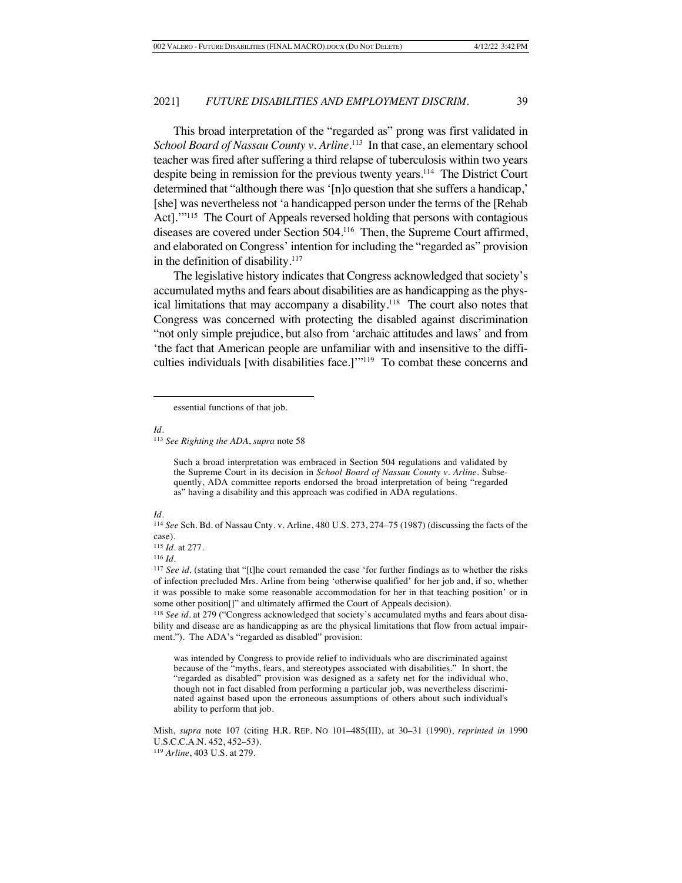This broad interpretation of the "regarded as" prong was first validated in School Board of Nassau County v. Arline.<sup>113</sup> In that case, an elementary school teacher was fired after suffering a third relapse of tuberculosis within two years despite being in remission for the previous twenty years.114 The District Court determined that "although there was '[n]o question that she suffers a handicap,' [she] was nevertheless not 'a handicapped person under the terms of the [Rehab Act]."<sup>115</sup> The Court of Appeals reversed holding that persons with contagious diseases are covered under Section 504.116 Then, the Supreme Court affirmed, and elaborated on Congress' intention for including the "regarded as" provision in the definition of disability. $117$ 

The legislative history indicates that Congress acknowledged that society's accumulated myths and fears about disabilities are as handicapping as the physical limitations that may accompany a disability.<sup>118</sup> The court also notes that Congress was concerned with protecting the disabled against discrimination "not only simple prejudice, but also from 'archaic attitudes and laws' and from 'the fact that American people are unfamiliar with and insensitive to the difficulties individuals [with disabilities face.]'"119 To combat these concerns and

#### *Id.*

<sup>113</sup> *See Righting the ADA*, *supra* note 58

Such a broad interpretation was embraced in Section 504 regulations and validated by the Supreme Court in its decision in *School Board of Nassau County v. Arline*. Subsequently, ADA committee reports endorsed the broad interpretation of being "regarded as" having a disability and this approach was codified in ADA regulations.

#### *Id.*

<sup>115</sup> *Id.* at 277.

<sup>116</sup> *Id.*

<sup>118</sup> *See id.* at 279 ("Congress acknowledged that society's accumulated myths and fears about disability and disease are as handicapping as are the physical limitations that flow from actual impairment."). The ADA's "regarded as disabled" provision:

was intended by Congress to provide relief to individuals who are discriminated against because of the "myths, fears, and stereotypes associated with disabilities." In short, the "regarded as disabled" provision was designed as a safety net for the individual who, though not in fact disabled from performing a particular job, was nevertheless discriminated against based upon the erroneous assumptions of others about such individual's ability to perform that job.

essential functions of that job.

<sup>114</sup> *See* Sch. Bd. of Nassau Cnty. v. Arline, 480 U.S. 273, 274–75 (1987) (discussing the facts of the case).

<sup>&</sup>lt;sup>117</sup> *See id.* (stating that "[t]he court remanded the case 'for further findings as to whether the risks of infection precluded Mrs. Arline from being 'otherwise qualified' for her job and, if so, whether it was possible to make some reasonable accommodation for her in that teaching position' or in some other position[]" and ultimately affirmed the Court of Appeals decision).

Mish, *supra* note 107 (citing H.R. REP. NO 101–485(III), at 30–31 (1990), *reprinted in* 1990 U.S.C.C.A.N. 452, 452–53).

<sup>119</sup> *Arline*, 403 U.S. at 279.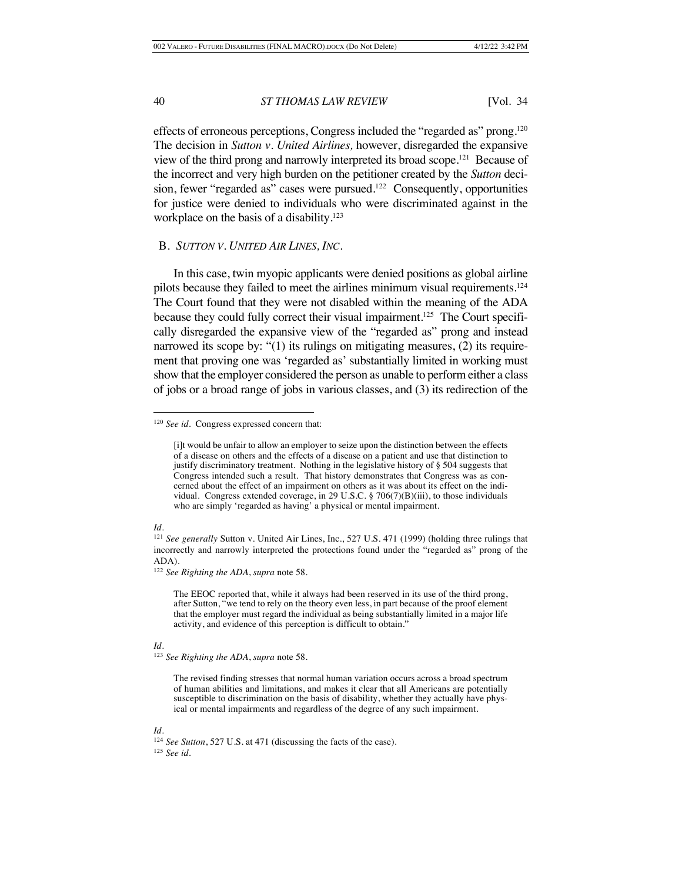effects of erroneous perceptions, Congress included the "regarded as" prong.120 The decision in *Sutton v. United Airlines,* however, disregarded the expansive view of the third prong and narrowly interpreted its broad scope.121 Because of the incorrect and very high burden on the petitioner created by the *Sutton* decision, fewer "regarded as" cases were pursued.<sup>122</sup> Consequently, opportunities for justice were denied to individuals who were discriminated against in the workplace on the basis of a disability.<sup>123</sup>

#### B. *SUTTON V. UNITED AIR LINES, INC.*

In this case, twin myopic applicants were denied positions as global airline pilots because they failed to meet the airlines minimum visual requirements.124 The Court found that they were not disabled within the meaning of the ADA because they could fully correct their visual impairment.<sup>125</sup> The Court specifically disregarded the expansive view of the "regarded as" prong and instead narrowed its scope by: "(1) its rulings on mitigating measures, (2) its requirement that proving one was 'regarded as' substantially limited in working must show that the employer considered the person as unable to perform either a class of jobs or a broad range of jobs in various classes, and (3) its redirection of the

#### *Id.*

The EEOC reported that, while it always had been reserved in its use of the third prong, after Sutton, "we tend to rely on the theory even less, in part because of the proof element that the employer must regard the individual as being substantially limited in a major life activity, and evidence of this perception is difficult to obtain."

#### *Id.*

<sup>120</sup> *See id.* Congress expressed concern that:

<sup>[</sup>i]t would be unfair to allow an employer to seize upon the distinction between the effects of a disease on others and the effects of a disease on a patient and use that distinction to justify discriminatory treatment. Nothing in the legislative history of § 504 suggests that Congress intended such a result. That history demonstrates that Congress was as concerned about the effect of an impairment on others as it was about its effect on the individual. Congress extended coverage, in 29 U.S.C. § 706(7)(B)(iii), to those individuals who are simply 'regarded as having' a physical or mental impairment.

<sup>121</sup> *See generally* Sutton v. United Air Lines, Inc., 527 U.S. 471 (1999) (holding three rulings that incorrectly and narrowly interpreted the protections found under the "regarded as" prong of the ADA).

<sup>122</sup> *See Righting the ADA*, *supra* note 58.

<sup>123</sup> *See Righting the ADA*, *supra* note 58.

The revised finding stresses that normal human variation occurs across a broad spectrum of human abilities and limitations, and makes it clear that all Americans are potentially susceptible to discrimination on the basis of disability, whether they actually have physical or mental impairments and regardless of the degree of any such impairment.

<sup>124</sup> *See Sutton*, 527 U.S. at 471 (discussing the facts of the case). <sup>125</sup> *See id.*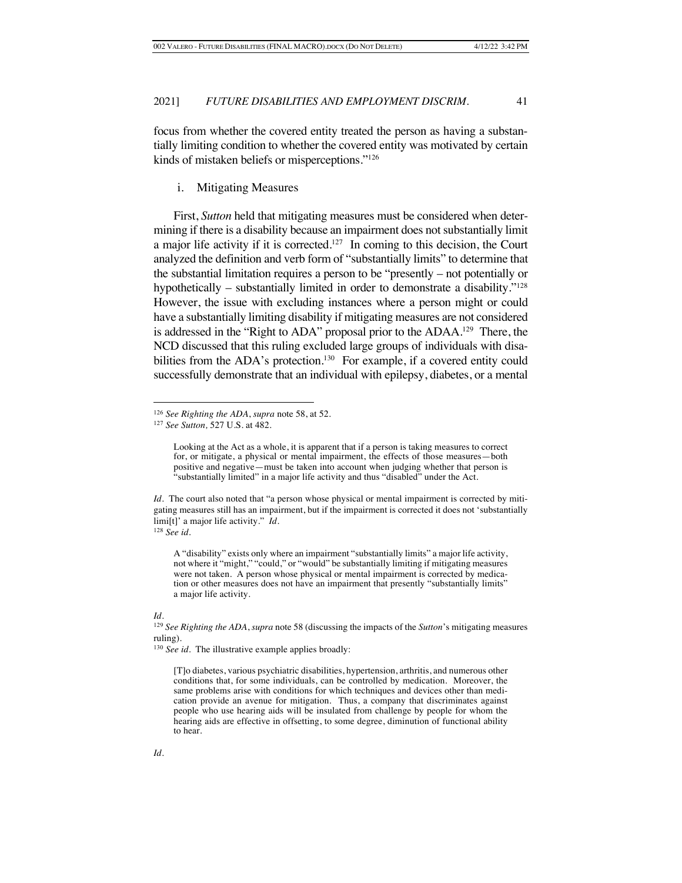focus from whether the covered entity treated the person as having a substantially limiting condition to whether the covered entity was motivated by certain kinds of mistaken beliefs or misperceptions."126

#### i. Mitigating Measures

First, *Sutton* held that mitigating measures must be considered when determining if there is a disability because an impairment does not substantially limit a major life activity if it is corrected.127 In coming to this decision, the Court analyzed the definition and verb form of "substantially limits" to determine that the substantial limitation requires a person to be "presently – not potentially or hypothetically – substantially limited in order to demonstrate a disability."<sup>128</sup> However, the issue with excluding instances where a person might or could have a substantially limiting disability if mitigating measures are not considered is addressed in the "Right to ADA" proposal prior to the ADAA.<sup>129</sup> There, the NCD discussed that this ruling excluded large groups of individuals with disabilities from the ADA's protection.<sup>130</sup> For example, if a covered entity could successfully demonstrate that an individual with epilepsy, diabetes, or a mental

*Id.* The court also noted that "a person whose physical or mental impairment is corrected by mitigating measures still has an impairment, but if the impairment is corrected it does not 'substantially limi[t]' a major life activity." *Id.* <sup>128</sup> *See id.*

A "disability" exists only where an impairment "substantially limits" a major life activity, not where it "might," "could," or "would" be substantially limiting if mitigating measures were not taken. A person whose physical or mental impairment is corrected by medication or other measures does not have an impairment that presently "substantially limits" a major life activity.

<sup>126</sup> *See Righting the ADA*, *supra* note 58, at 52.

<sup>127</sup> *See Sutton,* 527 U.S. at 482.

Looking at the Act as a whole, it is apparent that if a person is taking measures to correct for, or mitigate, a physical or mental impairment, the effects of those measures—both positive and negative—must be taken into account when judging whether that person is "substantially limited" in a major life activity and thus "disabled" under the Act.

<sup>129</sup> *See Righting the ADA*, *supra* note 58 (discussing the impacts of the *Sutton*'s mitigating measures ruling).

<sup>130</sup> *See id.* The illustrative example applies broadly:

<sup>[</sup>T]o diabetes, various psychiatric disabilities, hypertension, arthritis, and numerous other conditions that, for some individuals, can be controlled by medication. Moreover, the same problems arise with conditions for which techniques and devices other than medication provide an avenue for mitigation. Thus, a company that discriminates against people who use hearing aids will be insulated from challenge by people for whom the hearing aids are effective in offsetting, to some degree, diminution of functional ability to hear.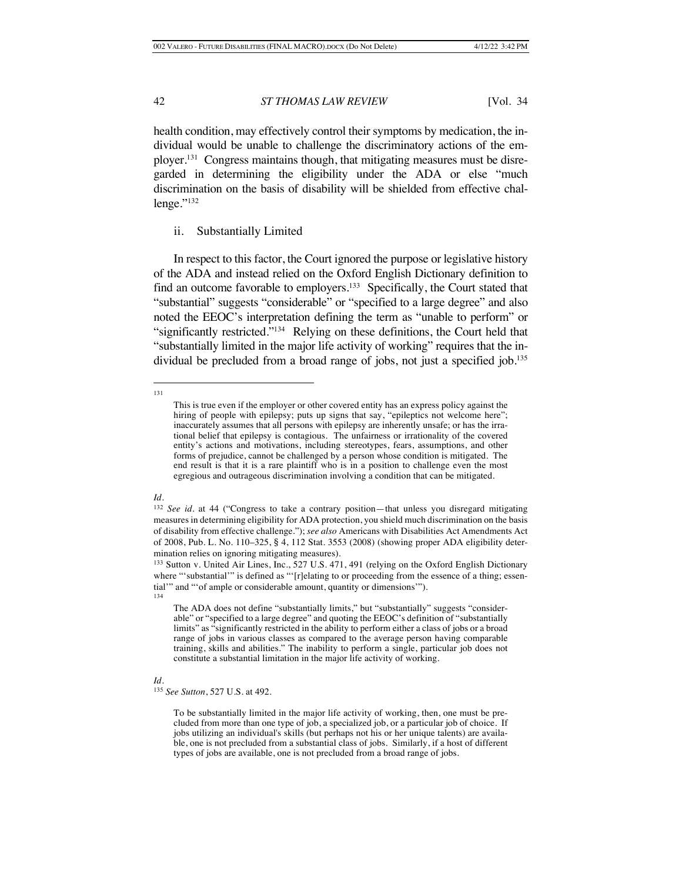health condition, may effectively control their symptoms by medication, the individual would be unable to challenge the discriminatory actions of the employer.131 Congress maintains though, that mitigating measures must be disregarded in determining the eligibility under the ADA or else "much discrimination on the basis of disability will be shielded from effective challenge."<sup>132</sup>

#### ii. Substantially Limited

In respect to this factor, the Court ignored the purpose or legislative history of the ADA and instead relied on the Oxford English Dictionary definition to find an outcome favorable to employers.133 Specifically, the Court stated that "substantial" suggests "considerable" or "specified to a large degree" and also noted the EEOC's interpretation defining the term as "unable to perform" or "significantly restricted."134 Relying on these definitions, the Court held that "substantially limited in the major life activity of working" requires that the individual be precluded from a broad range of jobs, not just a specified job.<sup>135</sup>

#### *Id.*

<sup>131</sup>

This is true even if the employer or other covered entity has an express policy against the hiring of people with epilepsy; puts up signs that say, "epileptics not welcome here"; inaccurately assumes that all persons with epilepsy are inherently unsafe; or has the irrational belief that epilepsy is contagious. The unfairness or irrationality of the covered entity's actions and motivations, including stereotypes, fears, assumptions, and other forms of prejudice, cannot be challenged by a person whose condition is mitigated. The end result is that it is a rare plaintiff who is in a position to challenge even the most egregious and outrageous discrimination involving a condition that can be mitigated.

<sup>132</sup> *See id.* at 44 ("Congress to take a contrary position—that unless you disregard mitigating measures in determining eligibility for ADA protection, you shield much discrimination on the basis of disability from effective challenge."); *see also* Americans with Disabilities Act Amendments Act of 2008, Pub. L. No. 110–325, § 4, 112 Stat. 3553 (2008) (showing proper ADA eligibility determination relies on ignoring mitigating measures).

<sup>133</sup> Sutton v. United Air Lines, Inc., 527 U.S. 471, 491 (relying on the Oxford English Dictionary where "'substantial'" is defined as "'[r]elating to or proceeding from the essence of a thing; essential'" and "'of ample or considerable amount, quantity or dimensions'").

<sup>134</sup>

The ADA does not define "substantially limits," but "substantially" suggests "considerable" or "specified to a large degree" and quoting the EEOC's definition of "substantially limits" as "significantly restricted in the ability to perform either a class of jobs or a broad range of jobs in various classes as compared to the average person having comparable training, skills and abilities." The inability to perform a single, particular job does not constitute a substantial limitation in the major life activity of working.

<sup>135</sup> *See Sutton*, 527 U.S. at 492.

To be substantially limited in the major life activity of working, then, one must be precluded from more than one type of job, a specialized job, or a particular job of choice. If jobs utilizing an individual's skills (but perhaps not his or her unique talents) are available, one is not precluded from a substantial class of jobs. Similarly, if a host of different types of jobs are available, one is not precluded from a broad range of jobs.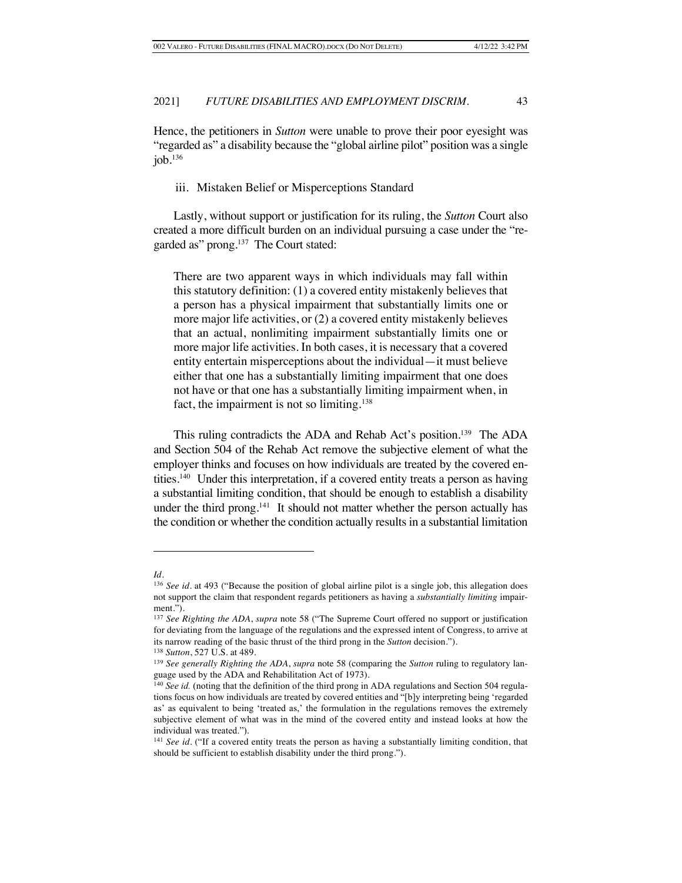Hence, the petitioners in *Sutton* were unable to prove their poor eyesight was "regarded as" a disability because the "global airline pilot" position was a single job. $136$ 

#### iii. Mistaken Belief or Misperceptions Standard

Lastly, without support or justification for its ruling, the *Sutton* Court also created a more difficult burden on an individual pursuing a case under the "regarded as" prong.<sup>137</sup> The Court stated:

There are two apparent ways in which individuals may fall within this statutory definition: (1) a covered entity mistakenly believes that a person has a physical impairment that substantially limits one or more major life activities, or (2) a covered entity mistakenly believes that an actual, nonlimiting impairment substantially limits one or more major life activities. In both cases, it is necessary that a covered entity entertain misperceptions about the individual—it must believe either that one has a substantially limiting impairment that one does not have or that one has a substantially limiting impairment when, in fact, the impairment is not so limiting.<sup>138</sup>

This ruling contradicts the ADA and Rehab Act's position.139 The ADA and Section 504 of the Rehab Act remove the subjective element of what the employer thinks and focuses on how individuals are treated by the covered entities.140 Under this interpretation, if a covered entity treats a person as having a substantial limiting condition, that should be enough to establish a disability under the third prong.<sup>141</sup> It should not matter whether the person actually has the condition or whether the condition actually results in a substantial limitation

*Id.*

<sup>136</sup> *See id.* at 493 ("Because the position of global airline pilot is a single job, this allegation does not support the claim that respondent regards petitioners as having a *substantially limiting* impairment.").

<sup>137</sup> *See Righting the ADA*, *supra* note 58 ("The Supreme Court offered no support or justification for deviating from the language of the regulations and the expressed intent of Congress, to arrive at its narrow reading of the basic thrust of the third prong in the *Sutton* decision.").

<sup>138</sup> *Sutton*, 527 U.S. at 489.

<sup>139</sup> *See generally Righting the ADA*, *supra* note 58 (comparing the *Sutton* ruling to regulatory language used by the ADA and Rehabilitation Act of 1973).

<sup>&</sup>lt;sup>140</sup> See id. (noting that the definition of the third prong in ADA regulations and Section 504 regulations focus on how individuals are treated by covered entities and "[b]y interpreting being 'regarded as' as equivalent to being 'treated as,' the formulation in the regulations removes the extremely subjective element of what was in the mind of the covered entity and instead looks at how the individual was treated.").

<sup>141</sup> *See id.* ("If a covered entity treats the person as having a substantially limiting condition, that should be sufficient to establish disability under the third prong.").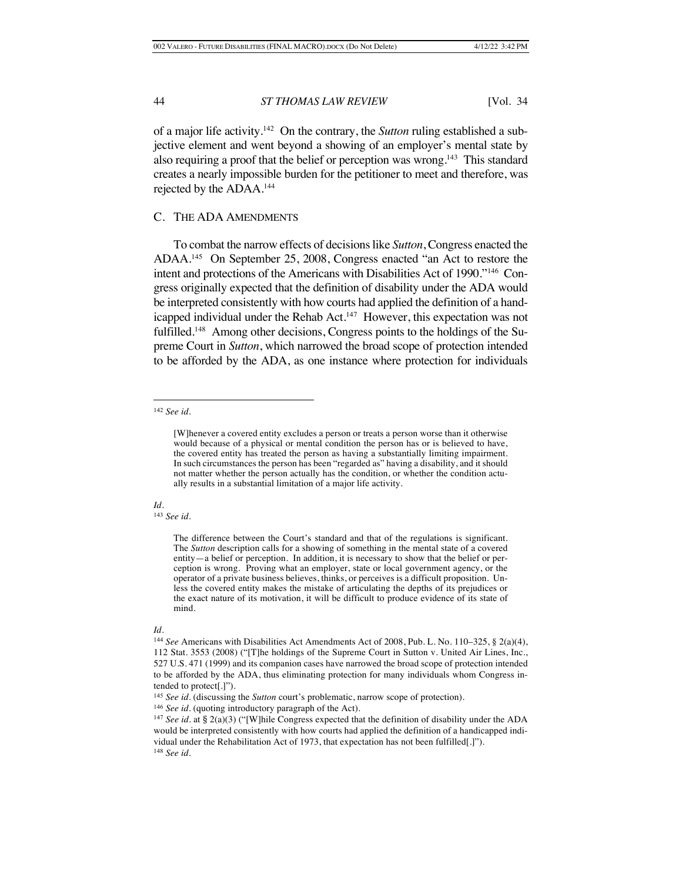of a major life activity.142 On the contrary, the *Sutton* ruling established a subjective element and went beyond a showing of an employer's mental state by also requiring a proof that the belief or perception was wrong.<sup>143</sup> This standard creates a nearly impossible burden for the petitioner to meet and therefore, was rejected by the ADAA.144

### C. THE ADA AMENDMENTS

To combat the narrow effects of decisions like *Sutton*, Congress enacted the ADAA.145 On September 25, 2008, Congress enacted "an Act to restore the intent and protections of the Americans with Disabilities Act of 1990."146 Congress originally expected that the definition of disability under the ADA would be interpreted consistently with how courts had applied the definition of a handicapped individual under the Rehab Act.147 However, this expectation was not fulfilled.<sup>148</sup> Among other decisions, Congress points to the holdings of the Supreme Court in *Sutton*, which narrowed the broad scope of protection intended to be afforded by the ADA, as one instance where protection for individuals

### *Id.*

<sup>143</sup> *See id*.

<sup>142</sup> *See id.*

<sup>[</sup>W]henever a covered entity excludes a person or treats a person worse than it otherwise would because of a physical or mental condition the person has or is believed to have, the covered entity has treated the person as having a substantially limiting impairment. In such circumstances the person has been "regarded as" having a disability, and it should not matter whether the person actually has the condition, or whether the condition actually results in a substantial limitation of a major life activity.

The difference between the Court's standard and that of the regulations is significant. The *Sutton* description calls for a showing of something in the mental state of a covered entity—a belief or perception. In addition, it is necessary to show that the belief or perception is wrong. Proving what an employer, state or local government agency, or the operator of a private business believes, thinks, or perceives is a difficult proposition. Unless the covered entity makes the mistake of articulating the depths of its prejudices or the exact nature of its motivation, it will be difficult to produce evidence of its state of mind.

<sup>144</sup> *See* Americans with Disabilities Act Amendments Act of 2008, Pub. L. No. 110–325, § 2(a)(4), 112 Stat. 3553 (2008) ("[T]he holdings of the Supreme Court in Sutton v. United Air Lines, Inc., 527 U.S. 471 (1999) and its companion cases have narrowed the broad scope of protection intended to be afforded by the ADA, thus eliminating protection for many individuals whom Congress intended to protect[.]").

<sup>&</sup>lt;sup>145</sup> *See id.* (discussing the *Sutton* court's problematic, narrow scope of protection).

<sup>146</sup> *See id.* (quoting introductory paragraph of the Act)*.* 

<sup>147</sup> *See id.* at § 2(a)(3) ("[W]hile Congress expected that the definition of disability under the ADA would be interpreted consistently with how courts had applied the definition of a handicapped individual under the Rehabilitation Act of 1973, that expectation has not been fulfilled[.]"). <sup>148</sup> *See id.*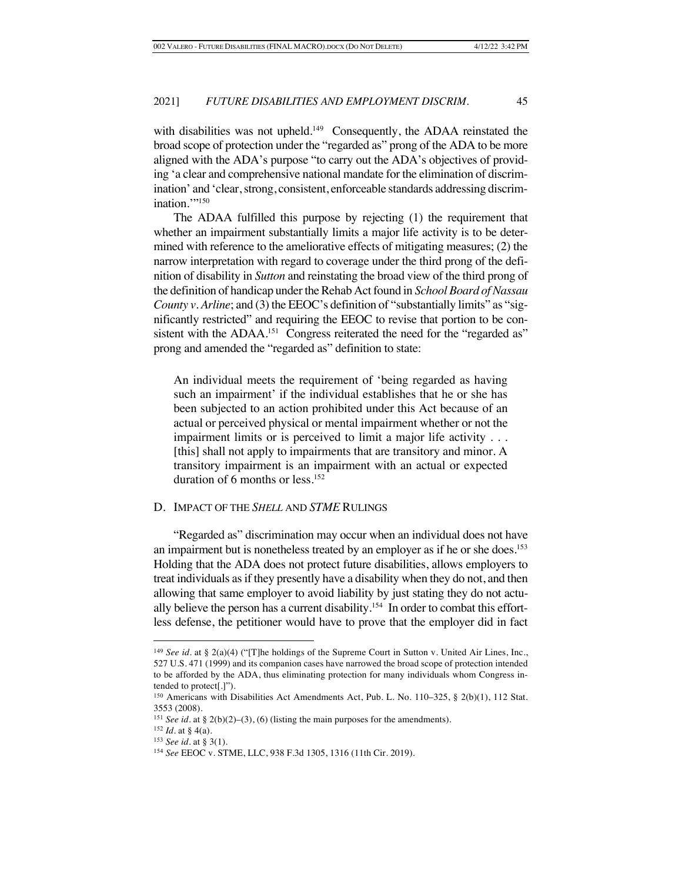with disabilities was not upheld.<sup>149</sup> Consequently, the ADAA reinstated the broad scope of protection under the "regarded as" prong of the ADA to be more aligned with the ADA's purpose "to carry out the ADA's objectives of providing 'a clear and comprehensive national mandate for the elimination of discrimination' and 'clear, strong, consistent, enforceable standards addressing discrimination."<sup>150</sup>

The ADAA fulfilled this purpose by rejecting (1) the requirement that whether an impairment substantially limits a major life activity is to be determined with reference to the ameliorative effects of mitigating measures; (2) the narrow interpretation with regard to coverage under the third prong of the definition of disability in *Sutton* and reinstating the broad view of the third prong of the definition of handicap under the Rehab Act found in *School Board of Nassau County v. Arline*; and (3) the EEOC's definition of "substantially limits" as "significantly restricted" and requiring the EEOC to revise that portion to be consistent with the ADAA.<sup>151</sup> Congress reiterated the need for the "regarded as" prong and amended the "regarded as" definition to state:

An individual meets the requirement of 'being regarded as having such an impairment' if the individual establishes that he or she has been subjected to an action prohibited under this Act because of an actual or perceived physical or mental impairment whether or not the impairment limits or is perceived to limit a major life activity . . . [this] shall not apply to impairments that are transitory and minor. A transitory impairment is an impairment with an actual or expected duration of 6 months or less.152

### D. IMPACT OF THE *SHELL* AND *STME* RULINGS

"Regarded as" discrimination may occur when an individual does not have an impairment but is nonetheless treated by an employer as if he or she does.153 Holding that the ADA does not protect future disabilities, allows employers to treat individuals as if they presently have a disability when they do not, and then allowing that same employer to avoid liability by just stating they do not actually believe the person has a current disability.<sup>154</sup> In order to combat this effortless defense, the petitioner would have to prove that the employer did in fact

<sup>149</sup> *See id.* at § 2(a)(4) ("[T]he holdings of the Supreme Court in Sutton v. United Air Lines, Inc., 527 U.S. 471 (1999) and its companion cases have narrowed the broad scope of protection intended to be afforded by the ADA, thus eliminating protection for many individuals whom Congress intended to protect[.]").

<sup>150</sup> Americans with Disabilities Act Amendments Act, Pub. L. No. 110–325, § 2(b)(1), 112 Stat. 3553 (2008).

<sup>151</sup> *See id.* at § 2(b)(2)–(3), (6) (listing the main purposes for the amendments).

 $152$  *Id.* at § 4(a).

<sup>153</sup> *See id.* at § 3(1).

<sup>154</sup> *See* EEOC v. STME, LLC, 938 F.3d 1305, 1316 (11th Cir. 2019).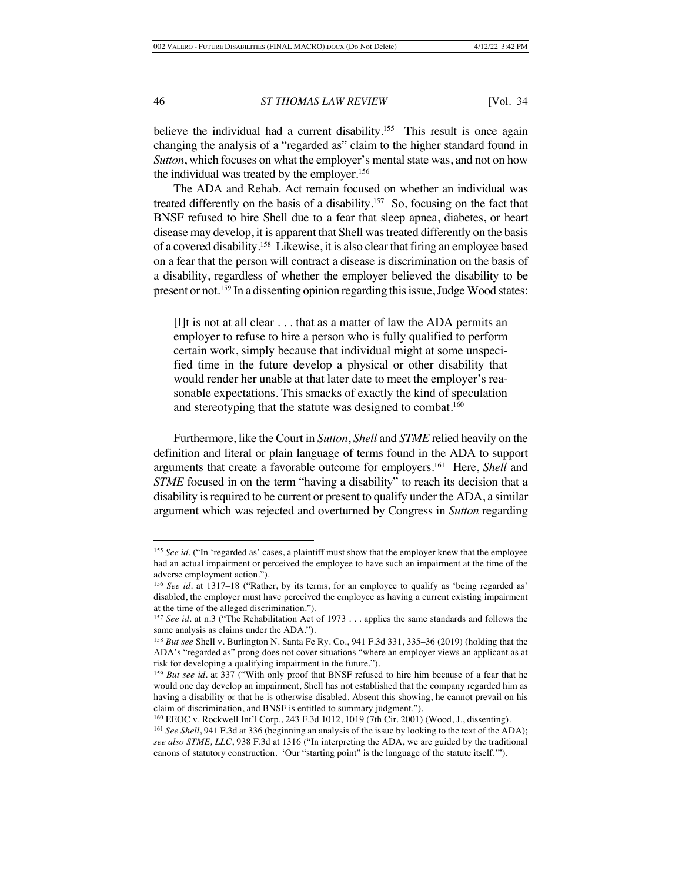believe the individual had a current disability.<sup>155</sup> This result is once again changing the analysis of a "regarded as" claim to the higher standard found in *Sutton*, which focuses on what the employer's mental state was, and not on how the individual was treated by the employer.156

The ADA and Rehab. Act remain focused on whether an individual was treated differently on the basis of a disability.<sup>157</sup> So, focusing on the fact that BNSF refused to hire Shell due to a fear that sleep apnea, diabetes, or heart disease may develop, it is apparent that Shell was treated differently on the basis of a covered disability.158 Likewise, it is also clear that firing an employee based on a fear that the person will contract a disease is discrimination on the basis of a disability, regardless of whether the employer believed the disability to be present or not.159 In a dissenting opinion regarding this issue, Judge Wood states:

 $[I]$ t is not at all clear  $\ldots$  that as a matter of law the ADA permits an employer to refuse to hire a person who is fully qualified to perform certain work, simply because that individual might at some unspecified time in the future develop a physical or other disability that would render her unable at that later date to meet the employer's reasonable expectations. This smacks of exactly the kind of speculation and stereotyping that the statute was designed to combat.<sup>160</sup>

Furthermore, like the Court in *Sutton*, *Shell* and *STME* relied heavily on the definition and literal or plain language of terms found in the ADA to support arguments that create a favorable outcome for employers.161 Here, *Shell* and *STME* focused in on the term "having a disability" to reach its decision that a disability is required to be current or present to qualify under the ADA, a similar argument which was rejected and overturned by Congress in *Sutton* regarding

<sup>&</sup>lt;sup>155</sup> See id. ("In 'regarded as' cases, a plaintiff must show that the employer knew that the employee had an actual impairment or perceived the employee to have such an impairment at the time of the adverse employment action.").

<sup>156</sup> *See id.* at 1317–18 ("Rather, by its terms, for an employee to qualify as 'being regarded as' disabled, the employer must have perceived the employee as having a current existing impairment at the time of the alleged discrimination.").

<sup>157</sup> *See id.* at n.3 ("The Rehabilitation Act of 1973 . . . applies the same standards and follows the same analysis as claims under the ADA.").

<sup>158</sup> *But see* Shell v. Burlington N. Santa Fe Ry. Co., 941 F.3d 331, 335–36 (2019) (holding that the ADA's "regarded as" prong does not cover situations "where an employer views an applicant as at risk for developing a qualifying impairment in the future.").

<sup>159</sup> *But see id.* at 337 ("With only proof that BNSF refused to hire him because of a fear that he would one day develop an impairment, Shell has not established that the company regarded him as having a disability or that he is otherwise disabled. Absent this showing, he cannot prevail on his claim of discrimination, and BNSF is entitled to summary judgment.").

<sup>160</sup> EEOC v. Rockwell Int'l Corp., 243 F.3d 1012, 1019 (7th Cir. 2001) (Wood, J., dissenting).

<sup>161</sup> *See Shell*, 941 F.3d at 336 (beginning an analysis of the issue by looking to the text of the ADA); *see also STME, LLC*, 938 F.3d at 1316 ("In interpreting the ADA, we are guided by the traditional canons of statutory construction. 'Our "starting point" is the language of the statute itself.'").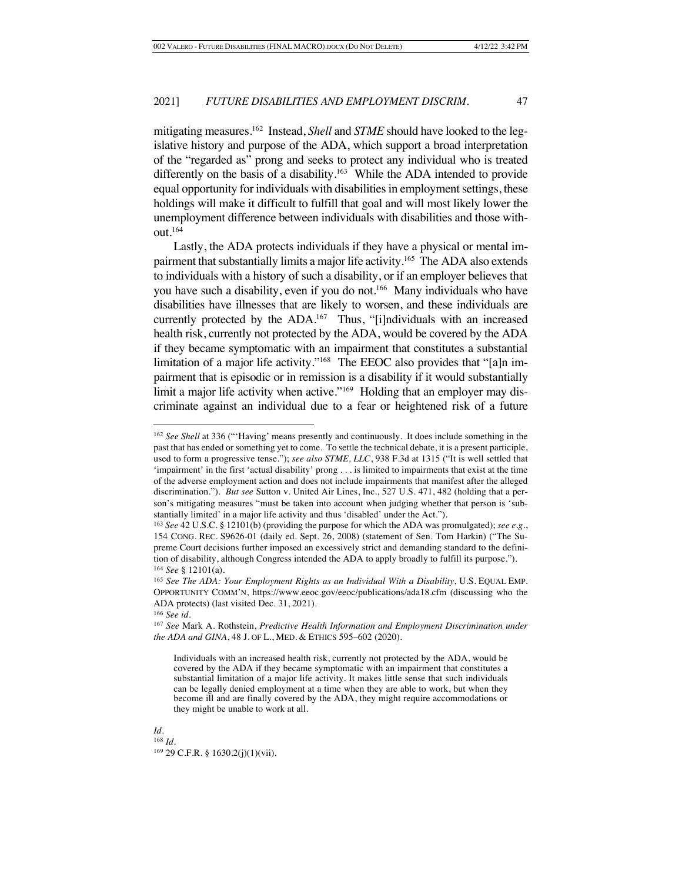mitigating measures.162 Instead, *Shell* and *STME* should have looked to the legislative history and purpose of the ADA, which support a broad interpretation of the "regarded as" prong and seeks to protect any individual who is treated differently on the basis of a disability.<sup>163</sup> While the ADA intended to provide equal opportunity for individuals with disabilities in employment settings, these holdings will make it difficult to fulfill that goal and will most likely lower the unemployment difference between individuals with disabilities and those without.164

Lastly, the ADA protects individuals if they have a physical or mental impairment that substantially limits a major life activity.165 The ADA also extends to individuals with a history of such a disability, or if an employer believes that you have such a disability, even if you do not. 166 Many individuals who have disabilities have illnesses that are likely to worsen, and these individuals are currently protected by the ADA.<sup>167</sup> Thus, "[i]ndividuals with an increased health risk, currently not protected by the ADA, would be covered by the ADA if they became symptomatic with an impairment that constitutes a substantial limitation of a major life activity."168 The EEOC also provides that "[a]n impairment that is episodic or in remission is a disability if it would substantially limit a major life activity when active."<sup>169</sup> Holding that an employer may discriminate against an individual due to a fear or heightened risk of a future

<sup>166</sup> *See id.*

*Id.* <sup>168</sup> *Id.* <sup>169</sup> 29 C.F.R. § 1630.2(j)(1)(vii).

<sup>162</sup> *See Shell* at 336 ("'Having' means presently and continuously. It does include something in the past that has ended or something yet to come. To settle the technical debate, it is a present participle, used to form a progressive tense."); *see also STME, LLC*, 938 F.3d at 1315 ("It is well settled that 'impairment' in the first 'actual disability' prong . . . is limited to impairments that exist at the time of the adverse employment action and does not include impairments that manifest after the alleged discrimination."). *But see* Sutton v. United Air Lines, Inc., 527 U.S. 471, 482 (holding that a person's mitigating measures "must be taken into account when judging whether that person is 'substantially limited' in a major life activity and thus 'disabled' under the Act.").

<sup>163</sup> *See* 42 U.S.C. § 12101(b) (providing the purpose for which the ADA was promulgated); *see e.g.*, 154 CONG. REC. S9626-01 (daily ed. Sept. 26, 2008) (statement of Sen. Tom Harkin) ("The Supreme Court decisions further imposed an excessively strict and demanding standard to the definition of disability, although Congress intended the ADA to apply broadly to fulfill its purpose."). <sup>164</sup> *See* § 12101(a).

<sup>165</sup> *See The ADA: Your Employment Rights as an Individual With a Disability*, U.S. EQUAL EMP. OPPORTUNITY COMM'N, https://www.eeoc.gov/eeoc/publications/ada18.cfm (discussing who the ADA protects) (last visited Dec. 31, 2021).

<sup>167</sup> *See* Mark A. Rothstein, *Predictive Health Information and Employment Discrimination under the ADA and GINA*, 48 J. OF L., MED. & ETHICS 595–602 (2020).

Individuals with an increased health risk, currently not protected by the ADA, would be covered by the ADA if they became symptomatic with an impairment that constitutes a substantial limitation of a major life activity. It makes little sense that such individuals can be legally denied employment at a time when they are able to work, but when they become ill and are finally covered by the ADA, they might require accommodations or they might be unable to work at all.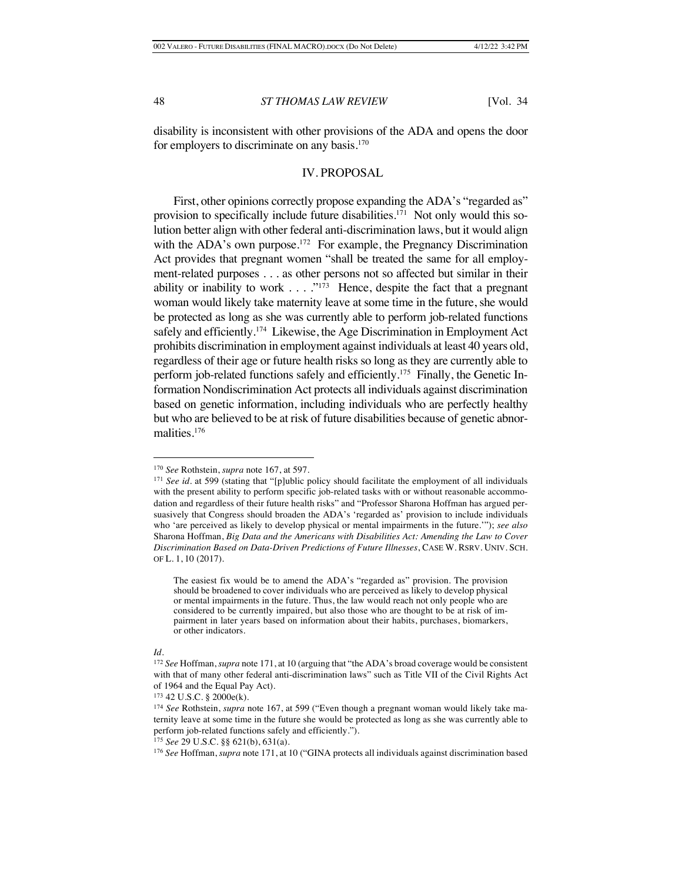disability is inconsistent with other provisions of the ADA and opens the door for employers to discriminate on any basis.170

### IV. PROPOSAL

First, other opinions correctly propose expanding the ADA's "regarded as" provision to specifically include future disabilities.171 Not only would this solution better align with other federal anti-discrimination laws, but it would align with the ADA's own purpose.<sup>172</sup> For example, the Pregnancy Discrimination Act provides that pregnant women "shall be treated the same for all employment-related purposes . . . as other persons not so affected but similar in their ability or inability to work  $\dots$ ."<sup>173</sup> Hence, despite the fact that a pregnant woman would likely take maternity leave at some time in the future, she would be protected as long as she was currently able to perform job-related functions safely and efficiently.<sup>174</sup> Likewise, the Age Discrimination in Employment Act prohibits discrimination in employment against individuals at least 40 years old, regardless of their age or future health risks so long as they are currently able to perform job-related functions safely and efficiently.175 Finally, the Genetic Information Nondiscrimination Act protects all individuals against discrimination based on genetic information, including individuals who are perfectly healthy but who are believed to be at risk of future disabilities because of genetic abnormalities.176

<sup>170</sup> *See* Rothstein, *supra* note 167, at 597.

<sup>&</sup>lt;sup>171</sup> *See id.* at 599 (stating that "[p]ublic policy should facilitate the employment of all individuals with the present ability to perform specific job-related tasks with or without reasonable accommodation and regardless of their future health risks" and "Professor Sharona Hoffman has argued persuasively that Congress should broaden the ADA's 'regarded as' provision to include individuals who 'are perceived as likely to develop physical or mental impairments in the future.'"); *see also* Sharona Hoffman, *Big Data and the Americans with Disabilities Act: Amending the Law to Cover Discrimination Based on Data-Driven Predictions of Future Illnesses*, CASE W. RSRV. UNIV. SCH. OF L. 1, 10 (2017).

The easiest fix would be to amend the ADA's "regarded as" provision. The provision should be broadened to cover individuals who are perceived as likely to develop physical or mental impairments in the future. Thus, the law would reach not only people who are considered to be currently impaired, but also those who are thought to be at risk of impairment in later years based on information about their habits, purchases, biomarkers, or other indicators.

<sup>172</sup> *See* Hoffman, *supra* note 171, at 10 (arguing that "the ADA's broad coverage would be consistent with that of many other federal anti-discrimination laws" such as Title VII of the Civil Rights Act of 1964 and the Equal Pay Act).

<sup>173</sup> 42 U.S.C. § 2000e(k).

<sup>174</sup> *See* Rothstein, *supra* note 167, at 599 ("Even though a pregnant woman would likely take maternity leave at some time in the future she would be protected as long as she was currently able to perform job-related functions safely and efficiently.").

<sup>175</sup> *See* 29 U.S.C. §§ 621(b), 631(a).

<sup>176</sup> *See* Hoffman, *supra* note 171, at 10 ("GINA protects all individuals against discrimination based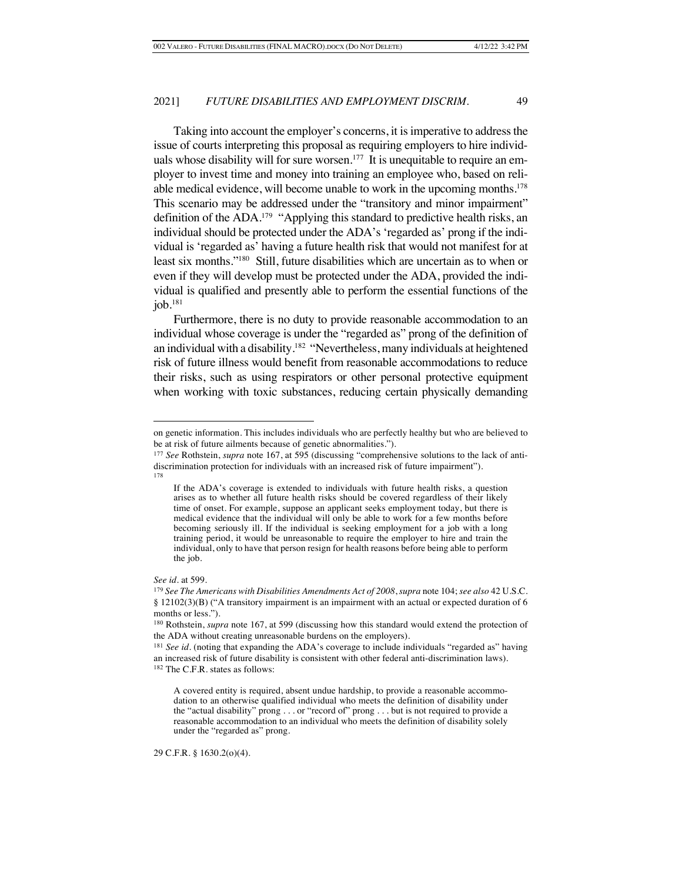Taking into account the employer's concerns, it is imperative to address the issue of courts interpreting this proposal as requiring employers to hire individuals whose disability will for sure worsen.<sup>177</sup> It is unequitable to require an employer to invest time and money into training an employee who, based on reliable medical evidence, will become unable to work in the upcoming months.<sup>178</sup> This scenario may be addressed under the "transitory and minor impairment" definition of the ADA.<sup>179</sup> "Applying this standard to predictive health risks, an individual should be protected under the ADA's 'regarded as' prong if the individual is 'regarded as' having a future health risk that would not manifest for at least six months."180 Still, future disabilities which are uncertain as to when or even if they will develop must be protected under the ADA, provided the individual is qualified and presently able to perform the essential functions of the  $i$ ob. $181$ 

Furthermore, there is no duty to provide reasonable accommodation to an individual whose coverage is under the "regarded as" prong of the definition of an individual with a disability.182 "Nevertheless, many individuals at heightened risk of future illness would benefit from reasonable accommodations to reduce their risks, such as using respirators or other personal protective equipment when working with toxic substances, reducing certain physically demanding

*See id.* at 599.

29 C.F.R. § 1630.2(o)(4).

on genetic information. This includes individuals who are perfectly healthy but who are believed to be at risk of future ailments because of genetic abnormalities.").

<sup>177</sup> *See* Rothstein, *supra* note 167, at 595 (discussing "comprehensive solutions to the lack of antidiscrimination protection for individuals with an increased risk of future impairment"). 178

If the ADA's coverage is extended to individuals with future health risks, a question arises as to whether all future health risks should be covered regardless of their likely time of onset. For example, suppose an applicant seeks employment today, but there is medical evidence that the individual will only be able to work for a few months before becoming seriously ill. If the individual is seeking employment for a job with a long training period, it would be unreasonable to require the employer to hire and train the individual, only to have that person resign for health reasons before being able to perform the job.

<sup>179</sup> *See The Americans with Disabilities Amendments Act of 2008*, *supra* note 104; *see also* 42 U.S.C. § 12102(3)(B) ("A transitory impairment is an impairment with an actual or expected duration of 6 months or less.").

<sup>180</sup> Rothstein, *supra* note 167, at 599 (discussing how this standard would extend the protection of the ADA without creating unreasonable burdens on the employers).

<sup>&</sup>lt;sup>181</sup> See id. (noting that expanding the ADA's coverage to include individuals "regarded as" having an increased risk of future disability is consistent with other federal anti-discrimination laws).

<sup>182</sup> The C.F.R. states as follows:

A covered entity is required, absent undue hardship, to provide a reasonable accommodation to an otherwise qualified individual who meets the definition of disability under the "actual disability" prong . . . or "record of" prong . . . but is not required to provide a reasonable accommodation to an individual who meets the definition of disability solely under the "regarded as" prong.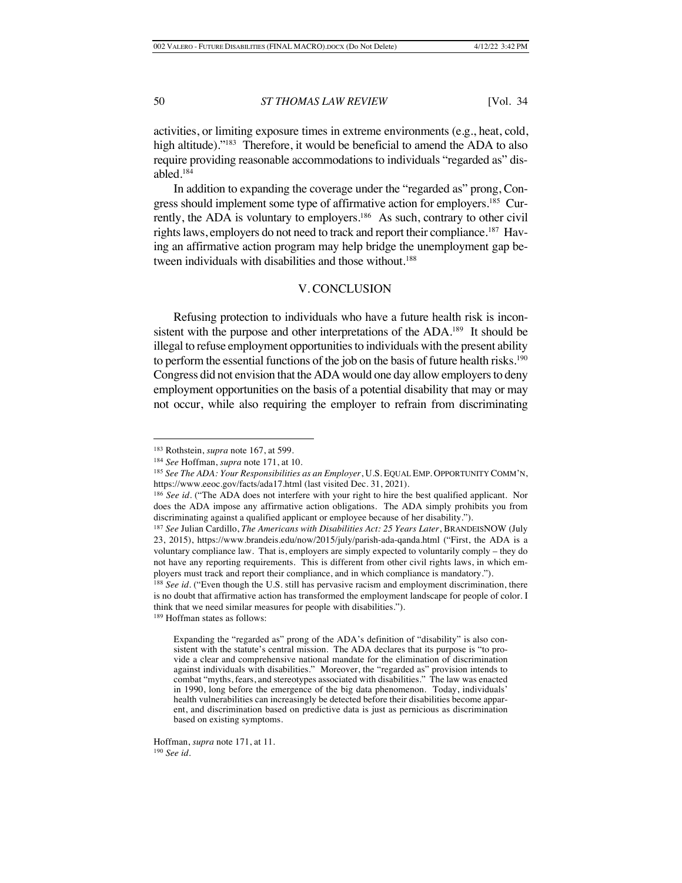activities, or limiting exposure times in extreme environments (e.g., heat, cold, high altitude)."<sup>183</sup> Therefore, it would be beneficial to amend the ADA to also require providing reasonable accommodations to individuals "regarded as" disabled.184

In addition to expanding the coverage under the "regarded as" prong, Congress should implement some type of affirmative action for employers.<sup>185</sup> Currently, the ADA is voluntary to employers.<sup>186</sup> As such, contrary to other civil rights laws, employers do not need to track and report their compliance.<sup>187</sup> Having an affirmative action program may help bridge the unemployment gap between individuals with disabilities and those without.<sup>188</sup>

### V. CONCLUSION

Refusing protection to individuals who have a future health risk is inconsistent with the purpose and other interpretations of the ADA.<sup>189</sup> It should be illegal to refuse employment opportunities to individuals with the present ability to perform the essential functions of the job on the basis of future health risks.<sup>190</sup> Congress did not envision that the ADA would one day allow employers to deny employment opportunities on the basis of a potential disability that may or may not occur, while also requiring the employer to refrain from discriminating

Hoffman, *supra* note 171, at 11. <sup>190</sup> *See id.*

<sup>183</sup> Rothstein, *supra* note 167, at 599.

<sup>184</sup> *See* Hoffman, *supra* note 171, at 10.

<sup>185</sup> *See The ADA: Your Responsibilities as an Employer*, U.S. EQUAL EMP. OPPORTUNITY COMM'N, https://www.eeoc.gov/facts/ada17.html (last visited Dec. 31, 2021).

<sup>&</sup>lt;sup>186</sup> See id. ("The ADA does not interfere with your right to hire the best qualified applicant. Nor does the ADA impose any affirmative action obligations. The ADA simply prohibits you from discriminating against a qualified applicant or employee because of her disability.").

<sup>187</sup> *See* Julian Cardillo, *The Americans with Disabilities Act: 25 Years Later*, BRANDEISNOW (July 23, 2015), https://www.brandeis.edu/now/2015/july/parish-ada-qanda.html ("First, the ADA is a voluntary compliance law. That is, employers are simply expected to voluntarily comply – they do not have any reporting requirements. This is different from other civil rights laws, in which employers must track and report their compliance, and in which compliance is mandatory.").

<sup>188</sup> *See id.* ("Even though the U.S. still has pervasive racism and employment discrimination, there is no doubt that affirmative action has transformed the employment landscape for people of color. I think that we need similar measures for people with disabilities.").

<sup>189</sup> Hoffman states as follows:

Expanding the "regarded as" prong of the ADA's definition of "disability" is also consistent with the statute's central mission. The ADA declares that its purpose is "to provide a clear and comprehensive national mandate for the elimination of discrimination against individuals with disabilities." Moreover, the "regarded as" provision intends to combat "myths, fears, and stereotypes associated with disabilities." The law was enacted in 1990, long before the emergence of the big data phenomenon. Today, individuals' health vulnerabilities can increasingly be detected before their disabilities become apparent, and discrimination based on predictive data is just as pernicious as discrimination based on existing symptoms.